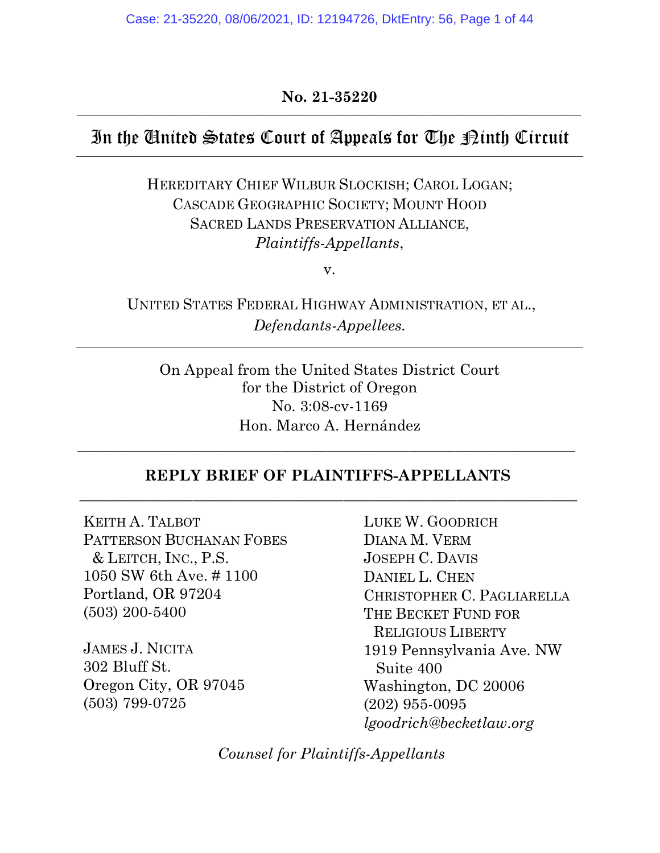#### **No. 21-35220** \_\_\_\_\_\_\_\_\_\_\_\_\_\_\_\_\_\_\_\_\_\_\_\_\_\_\_\_\_\_\_\_\_\_\_\_\_\_\_\_\_\_\_\_\_\_\_\_\_\_\_\_\_\_\_\_\_\_\_\_\_\_\_\_\_\_\_\_\_\_\_\_\_\_\_\_\_\_\_\_\_\_\_\_\_\_\_\_\_\_\_\_\_\_\_\_\_\_\_\_\_\_\_\_\_\_\_\_\_\_\_\_\_\_\_\_\_

## In the Cinited States Court of Appeals for The Pinth Circuit

## HEREDITARY CHIEF WILBUR SLOCKISH; CAROL LOGAN; CASCADE GEOGRAPHIC SOCIETY; MOUNT HOOD SACRED LANDS PRESERVATION ALLIANCE, *Plaintiffs-Appellants*,

v.

UNITED STATES FEDERAL HIGHWAY ADMINISTRATION, ET AL., *Defendants-Appellees.*

On Appeal from the United States District Court for the District of Oregon No. 3:08-cv-1169 Hon. Marco A. Hernández

### **REPLY BRIEF OF PLAINTIFFS-APPELLANTS**  $\overline{\phantom{a}}$  , and the contribution of the contribution of the contribution of the contribution of the contribution of the contribution of the contribution of the contribution of the contribution of the contribution of the

 $\_$  , and the set of the set of the set of the set of the set of the set of the set of the set of the set of the set of the set of the set of the set of the set of the set of the set of the set of the set of the set of th

KEITH A. TALBOT PATTERSON BUCHANAN FOBES & LEITCH, INC., P.S. 1050 SW 6th Ave. # 1100 Portland, OR 97204 (503) 200-5400

JAMES J. NICITA 302 Bluff St. Oregon City, OR 97045 (503) 799-0725

LUKE W. GOODRICH DIANA M. VERM JOSEPH C. DAVIS DANIEL L. CHEN CHRISTOPHER C. PAGLIARELLA THE BECKET FUND FOR RELIGIOUS LIBERTY 1919 Pennsylvania Ave. NW Suite 400 Washington, DC 20006 (202) 955-0095 *lgoodrich@becketlaw.org* 

*Counsel for Plaintiffs-Appellants*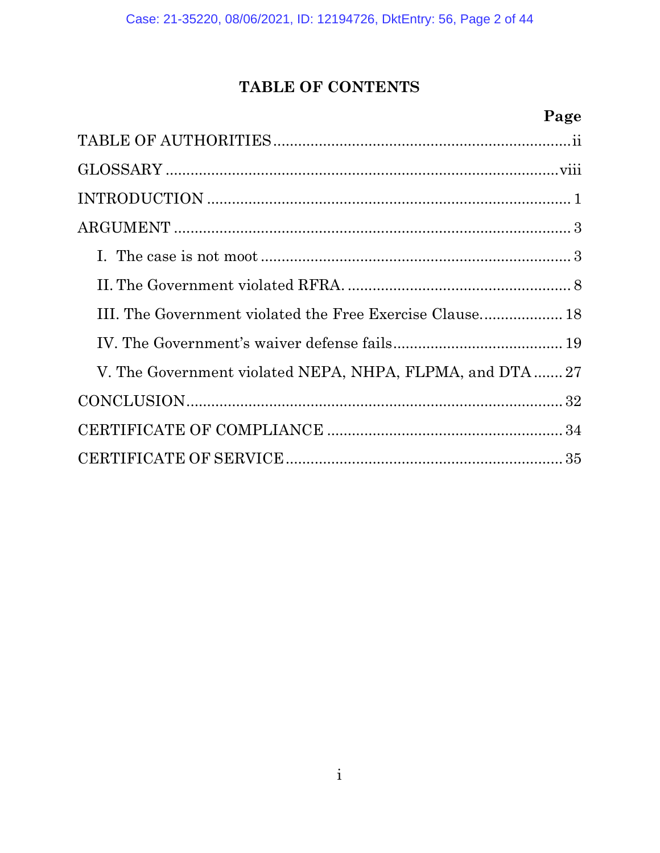# **TABLE OF CONTENTS**

# **Page**

| V. The Government violated NEPA, NHPA, FLPMA, and DTA  27 |
|-----------------------------------------------------------|
|                                                           |
|                                                           |
|                                                           |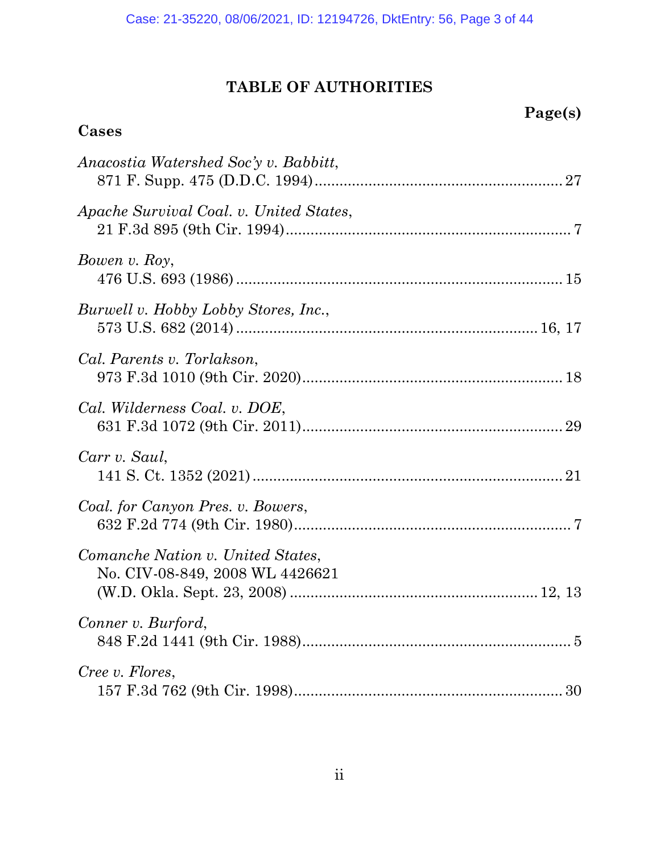## **TABLE OF AUTHORITIES**

# **Page(s)**

## **Cases**

| Anacostia Watershed Soc'y v. Babbitt,                                |
|----------------------------------------------------------------------|
| Apache Survival Coal. v. United States,                              |
| Bowen v. Roy,                                                        |
| Burwell v. Hobby Lobby Stores, Inc.,                                 |
| Cal. Parents v. Torlakson,                                           |
| Cal. Wilderness Coal. v. DOE,                                        |
| Carr v. Saul,                                                        |
| Coal. for Canyon Pres. v. Bowers,                                    |
| Comanche Nation v. United States,<br>No. CIV-08-849, 2008 WL 4426621 |
| Conner v. Burford,                                                   |
| Cree v. Flores,                                                      |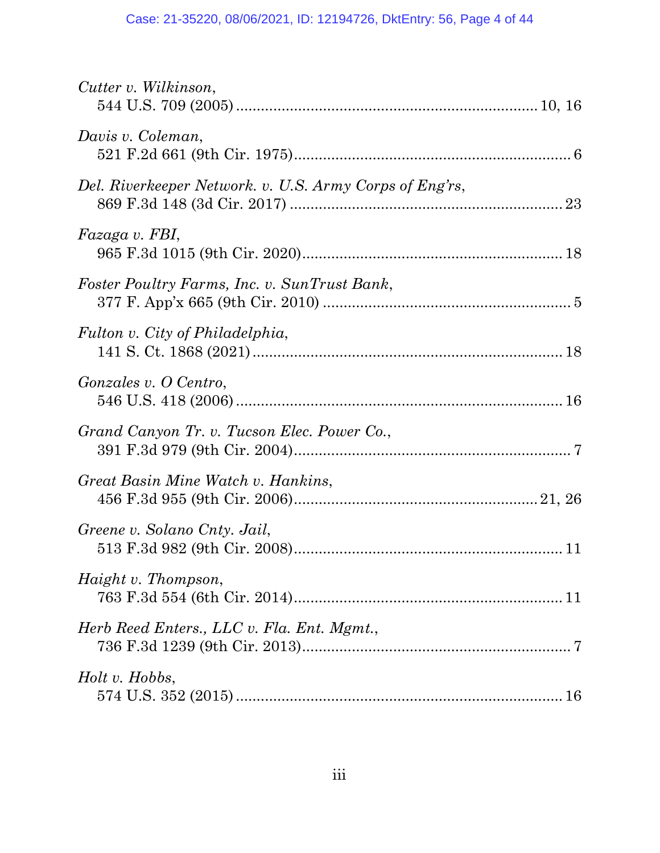| Cutter v. Wilkinson,                                    |
|---------------------------------------------------------|
| Davis v. Coleman,                                       |
| Del. Riverkeeper Network. v. U.S. Army Corps of Eng'rs, |
| Fazaga v. FBI,                                          |
| Foster Poultry Farms, Inc. v. SunTrust Bank,            |
| Fulton v. City of Philadelphia,                         |
| Gonzales v. O Centro,                                   |
| Grand Canyon Tr. v. Tucson Elec. Power Co.,             |
| Great Basin Mine Watch v. Hankins,                      |
| Greene v. Solano Cnty. Jail,                            |
| Haight v. Thompson,                                     |
| Herb Reed Enters., LLC v. Fla. Ent. Mgmt.,              |
| Holt v. Hobbs,                                          |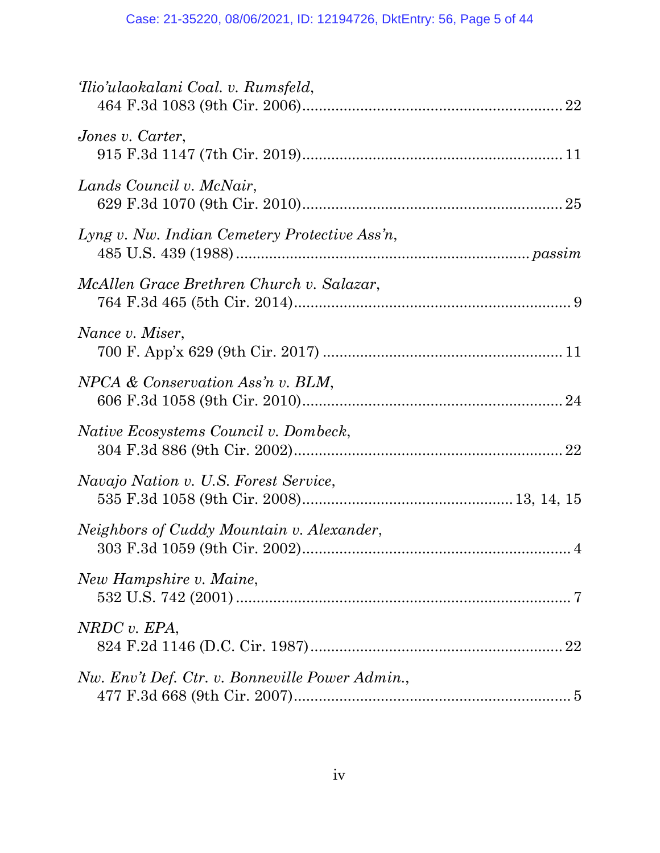| Tlio'ulaokalani Coal. v. Rumsfeld,              |  |
|-------------------------------------------------|--|
| Jones v. Carter,                                |  |
| Lands Council v. McNair,                        |  |
| Lyng v. Nw. Indian Cemetery Protective Ass'n,   |  |
| McAllen Grace Brethren Church v. Salazar,       |  |
| Nance v. Miser,                                 |  |
| NPCA & Conservation Ass'n v. BLM,               |  |
| Native Ecosystems Council v. Dombeck,           |  |
| Navajo Nation v. U.S. Forest Service,           |  |
| Neighbors of Cuddy Mountain v. Alexander,       |  |
| New Hampshire v. Maine,                         |  |
| NRDC v. EPA,                                    |  |
| Nw. Env't Def. Ctr. v. Bonneville Power Admin., |  |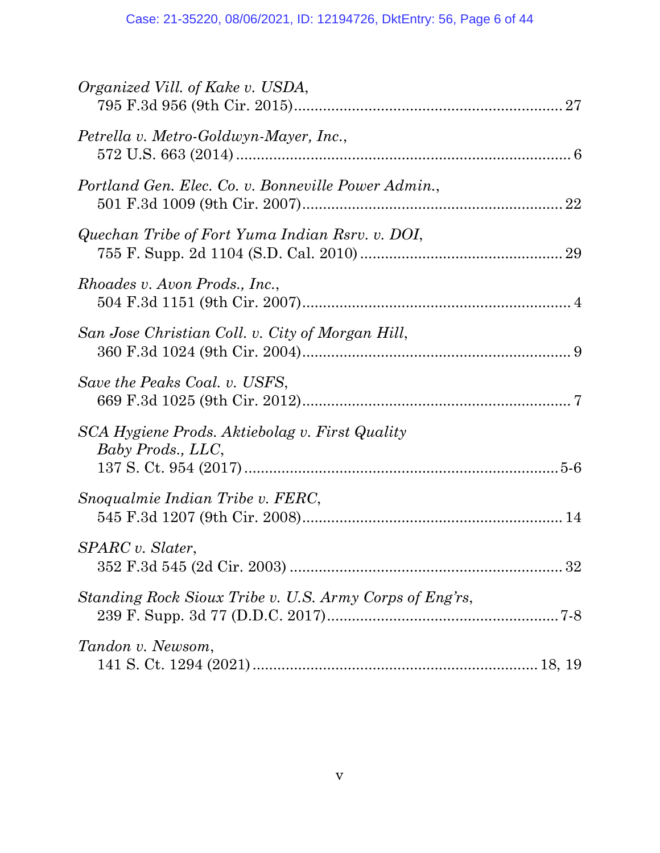| Organized Vill. of Kake v. USDA,                                    |
|---------------------------------------------------------------------|
| Petrella v. Metro-Goldwyn-Mayer, Inc.,                              |
| Portland Gen. Elec. Co. v. Bonneville Power Admin.,                 |
| Quechan Tribe of Fort Yuma Indian Rsrv. v. DOI,                     |
| <i>Rhoades v. Avon Prods., Inc.,</i>                                |
| San Jose Christian Coll. v. City of Morgan Hill,                    |
| Save the Peaks Coal. v. USFS,                                       |
| SCA Hygiene Prods. Aktiebolag v. First Quality<br>Baby Prods., LLC, |
| Snoqualmie Indian Tribe v. FERC,                                    |
| SPARC v. Slater,                                                    |
| Standing Rock Sioux Tribe v. U.S. Army Corps of Eng'rs,             |
| Tandon v. Newsom,                                                   |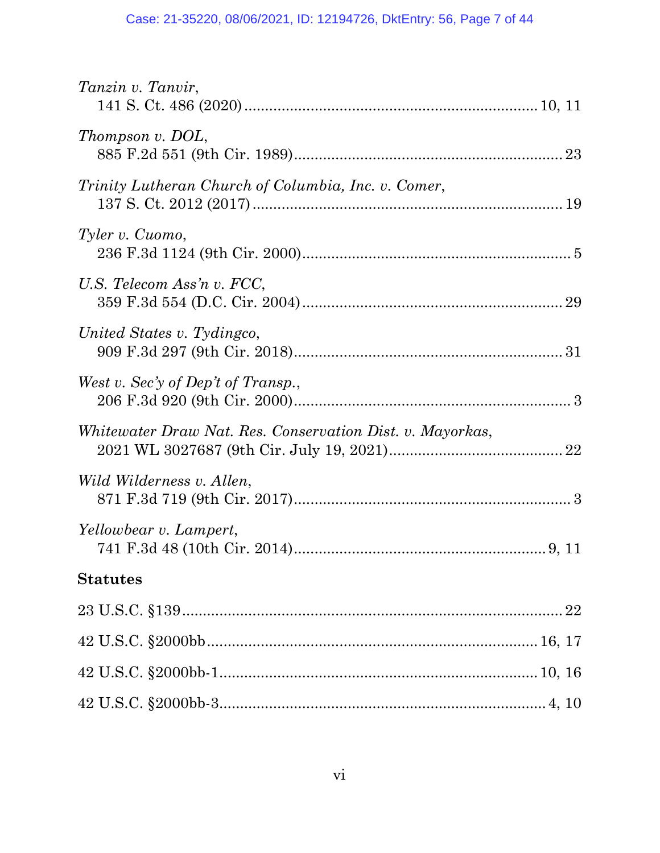| Tanzin v. Tanvir,                                         |  |
|-----------------------------------------------------------|--|
| Thompson v. DOL,                                          |  |
| Trinity Lutheran Church of Columbia, Inc. v. Comer,       |  |
| Tyler v. Cuomo,                                           |  |
| U.S. Telecom Ass'n v. FCC,                                |  |
| United States v. Tydingco,                                |  |
| West v. Sec'y of Dep't of Transp.,                        |  |
| Whitewater Draw Nat. Res. Conservation Dist. v. Mayorkas, |  |
| Wild Wilderness v. Allen,                                 |  |
| Yellowbear v. Lampert,                                    |  |
| <b>Statutes</b>                                           |  |
|                                                           |  |
|                                                           |  |
|                                                           |  |
|                                                           |  |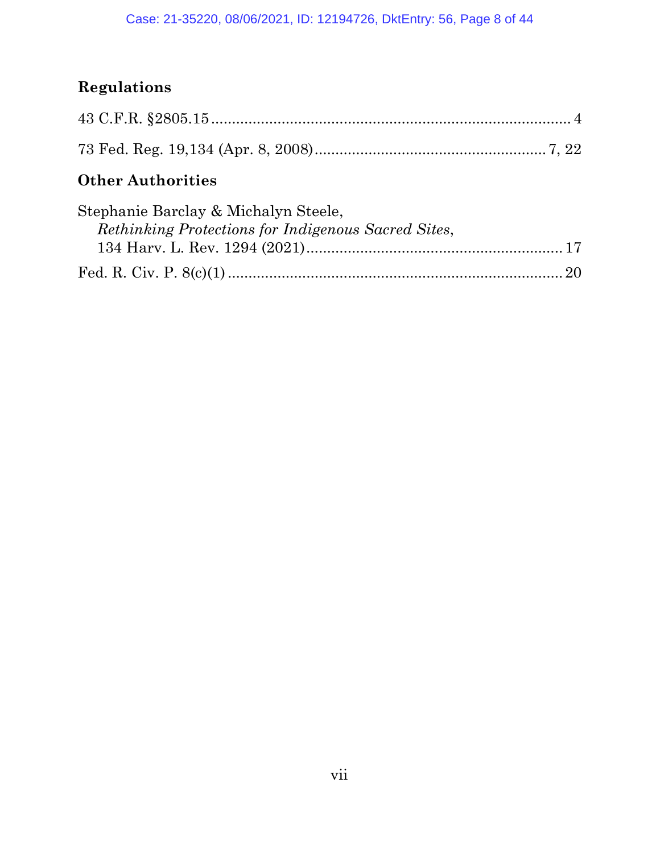# **Regulations**

## **Other Authorities**

| Stephanie Barclay & Michalyn Steele,                |  |
|-----------------------------------------------------|--|
| Rethinking Protections for Indigenous Sacred Sites, |  |
|                                                     |  |
|                                                     |  |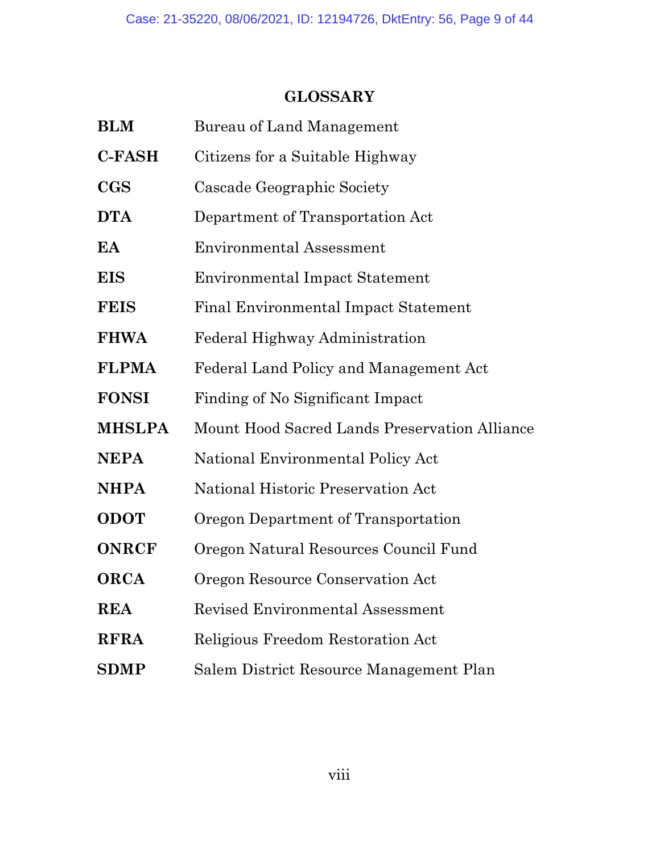## **GLOSSARY**

| <b>BLM</b>    | <b>Bureau of Land Management</b>              |
|---------------|-----------------------------------------------|
| <b>C-FASH</b> | Citizens for a Suitable Highway               |
| $_{\rm CGS}$  | Cascade Geographic Society                    |
| <b>DTA</b>    | Department of Transportation Act              |
| EA            | <b>Environmental Assessment</b>               |
| <b>EIS</b>    | <b>Environmental Impact Statement</b>         |
| <b>FEIS</b>   | Final Environmental Impact Statement          |
| <b>FHWA</b>   | Federal Highway Administration                |
| <b>FLPMA</b>  | Federal Land Policy and Management Act        |
| <b>FONSI</b>  | Finding of No Significant Impact              |
| <b>MHSLPA</b> | Mount Hood Sacred Lands Preservation Alliance |
| <b>NEPA</b>   | National Environmental Policy Act             |
| <b>NHPA</b>   | National Historic Preservation Act            |
| <b>ODOT</b>   | Oregon Department of Transportation           |
| <b>ONRCF</b>  | Oregon Natural Resources Council Fund         |
| <b>ORCA</b>   | Oregon Resource Conservation Act              |
| <b>REA</b>    | <b>Revised Environmental Assessment</b>       |
| <b>RFRA</b>   | Religious Freedom Restoration Act             |
| <b>SDMP</b>   | Salem District Resource Management Plan       |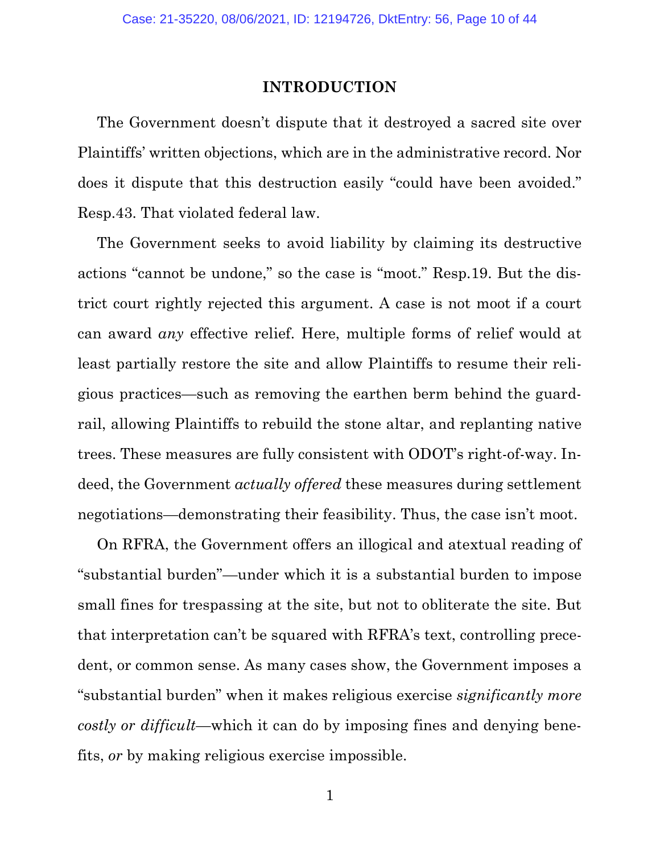#### **INTRODUCTION**

The Government doesn't dispute that it destroyed a sacred site over Plaintiffs' written objections, which are in the administrative record. Nor does it dispute that this destruction easily "could have been avoided." Resp.43. That violated federal law.

The Government seeks to avoid liability by claiming its destructive actions "cannot be undone," so the case is "moot." Resp.19. But the district court rightly rejected this argument. A case is not moot if a court can award *any* effective relief. Here, multiple forms of relief would at least partially restore the site and allow Plaintiffs to resume their religious practices—such as removing the earthen berm behind the guardrail, allowing Plaintiffs to rebuild the stone altar, and replanting native trees. These measures are fully consistent with ODOT's right-of-way. Indeed, the Government *actually offered* these measures during settlement negotiations—demonstrating their feasibility. Thus, the case isn't moot.

On RFRA, the Government offers an illogical and atextual reading of "substantial burden"—under which it is a substantial burden to impose small fines for trespassing at the site, but not to obliterate the site. But that interpretation can't be squared with RFRA's text, controlling precedent, or common sense. As many cases show, the Government imposes a "substantial burden" when it makes religious exercise *significantly more costly or difficult*—which it can do by imposing fines and denying benefits, *or* by making religious exercise impossible.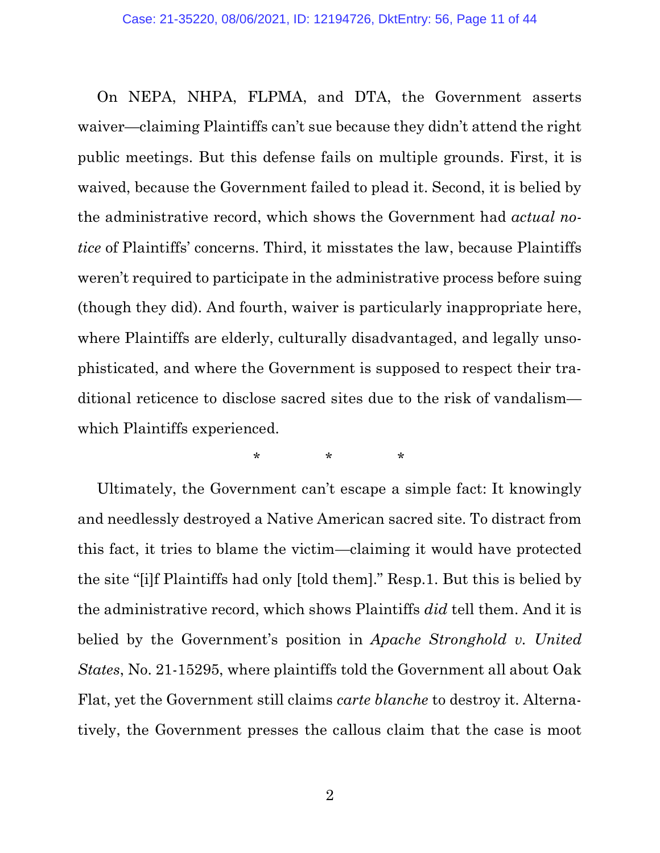On NEPA, NHPA, FLPMA, and DTA, the Government asserts waiver—claiming Plaintiffs can't sue because they didn't attend the right public meetings. But this defense fails on multiple grounds. First, it is waived, because the Government failed to plead it. Second, it is belied by the administrative record, which shows the Government had *actual notice* of Plaintiffs' concerns. Third, it misstates the law, because Plaintiffs weren't required to participate in the administrative process before suing (though they did). And fourth, waiver is particularly inappropriate here, where Plaintiffs are elderly, culturally disadvantaged, and legally unsophisticated, and where the Government is supposed to respect their traditional reticence to disclose sacred sites due to the risk of vandalism which Plaintiffs experienced.

\*\*\*

Ultimately, the Government can't escape a simple fact: It knowingly and needlessly destroyed a Native American sacred site. To distract from this fact, it tries to blame the victim—claiming it would have protected the site "[i]f Plaintiffs had only [told them]." Resp.1. But this is belied by the administrative record, which shows Plaintiffs *did* tell them. And it is belied by the Government's position in *Apache Stronghold v. United States*, No. 21-15295, where plaintiffs told the Government all about Oak Flat, yet the Government still claims *carte blanche* to destroy it. Alternatively, the Government presses the callous claim that the case is moot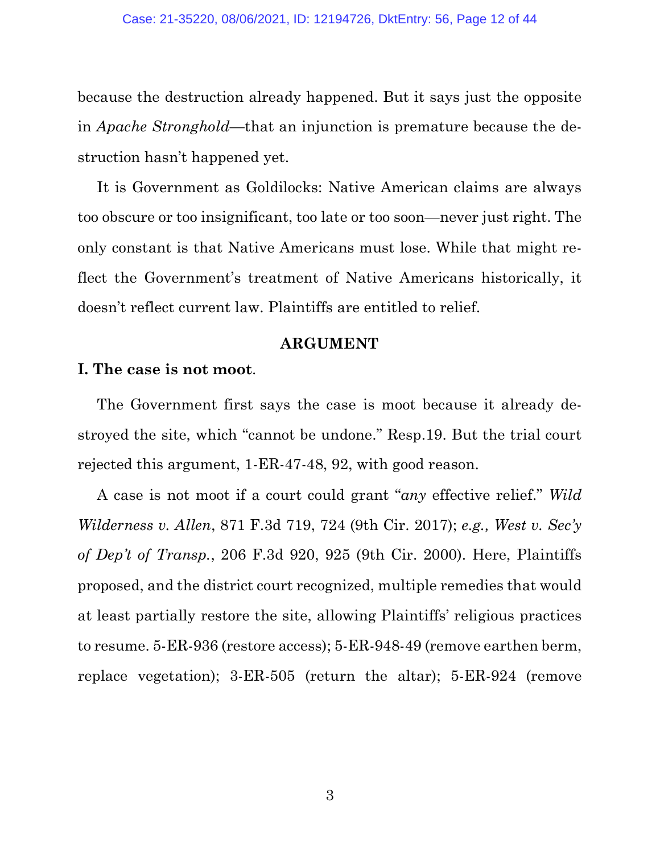because the destruction already happened. But it says just the opposite in *Apache Stronghold*—that an injunction is premature because the destruction hasn't happened yet.

It is Government as Goldilocks: Native American claims are always too obscure or too insignificant, too late or too soon—never just right. The only constant is that Native Americans must lose. While that might reflect the Government's treatment of Native Americans historically, it doesn't reflect current law. Plaintiffs are entitled to relief.

#### **ARGUMENT**

#### **I. The case is not moot**.

The Government first says the case is moot because it already destroyed the site, which "cannot be undone." Resp.19. But the trial court rejected this argument, 1-ER-47-48, 92, with good reason.

A case is not moot if a court could grant "*any* effective relief." *Wild Wilderness v. Allen*, 871 F.3d 719, 724 (9th Cir. 2017); *e.g., West v. Sec'y of Dep't of Transp.*, 206 F.3d 920, 925 (9th Cir. 2000). Here, Plaintiffs proposed, and the district court recognized, multiple remedies that would at least partially restore the site, allowing Plaintiffs' religious practices to resume. 5-ER-936 (restore access); 5-ER-948-49 (remove earthen berm, replace vegetation); 3-ER-505 (return the altar); 5-ER-924 (remove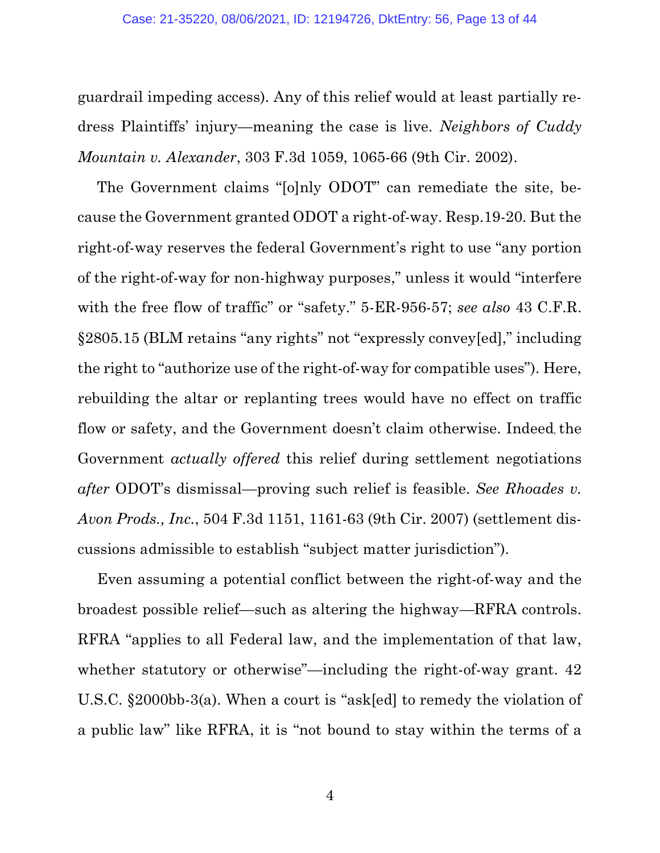guardrail impeding access). Any of this relief would at least partially redress Plaintiffs' injury—meaning the case is live. *Neighbors of Cuddy Mountain v. Alexander*, 303 F.3d 1059, 1065-66 (9th Cir. 2002).

The Government claims "[o]nly ODOT" can remediate the site, because the Government granted ODOT a right-of-way. Resp.19-20. But the right-of-way reserves the federal Government's right to use "any portion of the right-of-way for non-highway purposes," unless it would "interfere with the free flow of traffic" or "safety." 5-ER-956-57; *see also* 43 C.F.R. §2805.15 (BLM retains "any rights" not "expressly convey[ed]," including the right to "authorize use of the right-of-way for compatible uses"). Here, rebuilding the altar or replanting trees would have no effect on traffic flow or safety, and the Government doesn't claim otherwise. Indeed, the Government *actually offered* this relief during settlement negotiations *after* ODOT's dismissal—proving such relief is feasible. *See Rhoades v. Avon Prods., Inc.*, 504 F.3d 1151, 1161-63 (9th Cir. 2007) (settlement discussions admissible to establish "subject matter jurisdiction").

Even assuming a potential conflict between the right-of-way and the broadest possible relief—such as altering the highway—RFRA controls. RFRA "applies to all Federal law, and the implementation of that law, whether statutory or otherwise"—including the right-of-way grant.  $42$ U.S.C. §2000bb-3(a). When a court is "ask[ed] to remedy the violation of a public law" like RFRA, it is "not bound to stay within the terms of a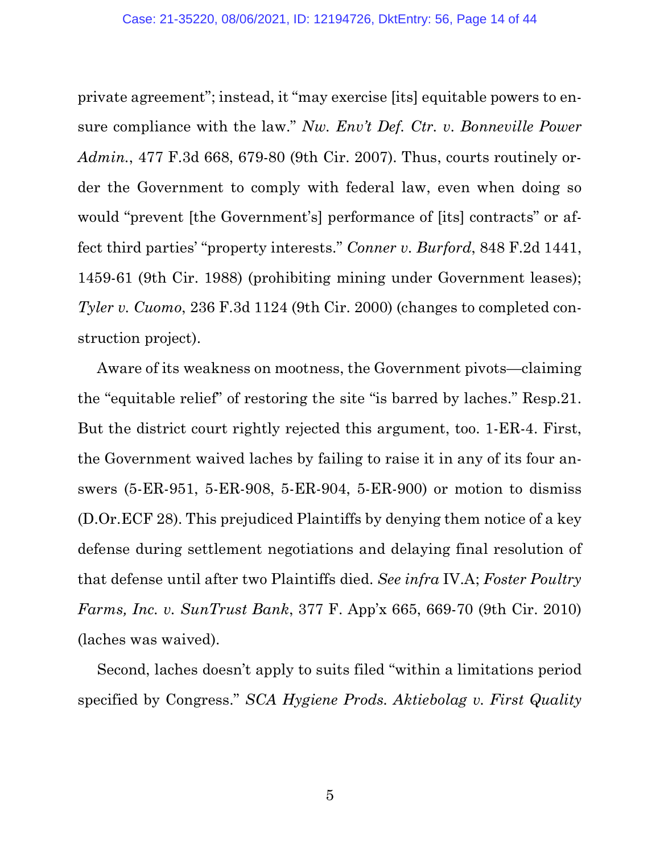private agreement"; instead, it "may exercise [its] equitable powers to ensure compliance with the law." *Nw. Env't Def. Ctr. v. Bonneville Power Admin.*, 477 F.3d 668, 679-80 (9th Cir. 2007). Thus, courts routinely order the Government to comply with federal law, even when doing so would "prevent [the Government's] performance of [its] contracts" or affect third parties' "property interests." *Conner v. Burford*, 848 F.2d 1441, 1459-61 (9th Cir. 1988) (prohibiting mining under Government leases); *Tyler v. Cuomo*, 236 F.3d 1124 (9th Cir. 2000) (changes to completed construction project).

Aware of its weakness on mootness, the Government pivots—claiming the "equitable relief" of restoring the site "is barred by laches." Resp.21. But the district court rightly rejected this argument, too. 1-ER-4. First, the Government waived laches by failing to raise it in any of its four answers (5-ER-951, 5-ER-908, 5-ER-904, 5-ER-900) or motion to dismiss (D.Or.ECF 28). This prejudiced Plaintiffs by denying them notice of a key defense during settlement negotiations and delaying final resolution of that defense until after two Plaintiffs died. *See infra* IV.A; *Foster Poultry Farms, Inc. v. SunTrust Bank*, 377 F. App'x 665, 669-70 (9th Cir. 2010) (laches was waived).

Second, laches doesn't apply to suits filed "within a limitations period specified by Congress." *SCA Hygiene Prods. Aktiebolag v. First Quality*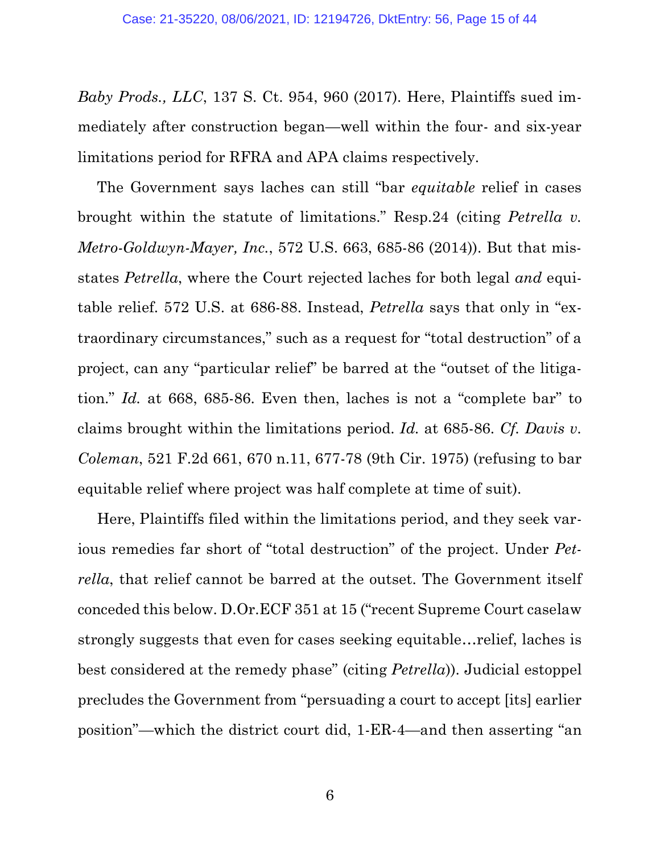*Baby Prods., LLC*, 137 S. Ct. 954, 960 (2017). Here, Plaintiffs sued immediately after construction began—well within the four- and six-year limitations period for RFRA and APA claims respectively.

The Government says laches can still "bar *equitable* relief in cases brought within the statute of limitations." Resp.24 (citing *Petrella v. Metro-Goldwyn-Mayer, Inc.*, 572 U.S. 663, 685-86 (2014)). But that misstates *Petrella*, where the Court rejected laches for both legal *and* equitable relief. 572 U.S. at 686-88. Instead, *Petrella* says that only in "extraordinary circumstances," such as a request for "total destruction" of a project, can any "particular relief" be barred at the "outset of the litigation." *Id.* at 668, 685-86. Even then, laches is not a "complete bar" to claims brought within the limitations period. *Id.* at 685-86. *Cf. Davis v. Coleman*, 521 F.2d 661, 670 n.11, 677-78 (9th Cir. 1975) (refusing to bar equitable relief where project was half complete at time of suit).

Here, Plaintiffs filed within the limitations period, and they seek various remedies far short of "total destruction" of the project. Under *Petrella*, that relief cannot be barred at the outset. The Government itself conceded this below. D.Or.ECF 351 at 15 ("recent Supreme Court caselaw strongly suggests that even for cases seeking equitable…relief, laches is best considered at the remedy phase" (citing *Petrella*)). Judicial estoppel precludes the Government from "persuading a court to accept [its] earlier position"—which the district court did, 1-ER-4—and then asserting "an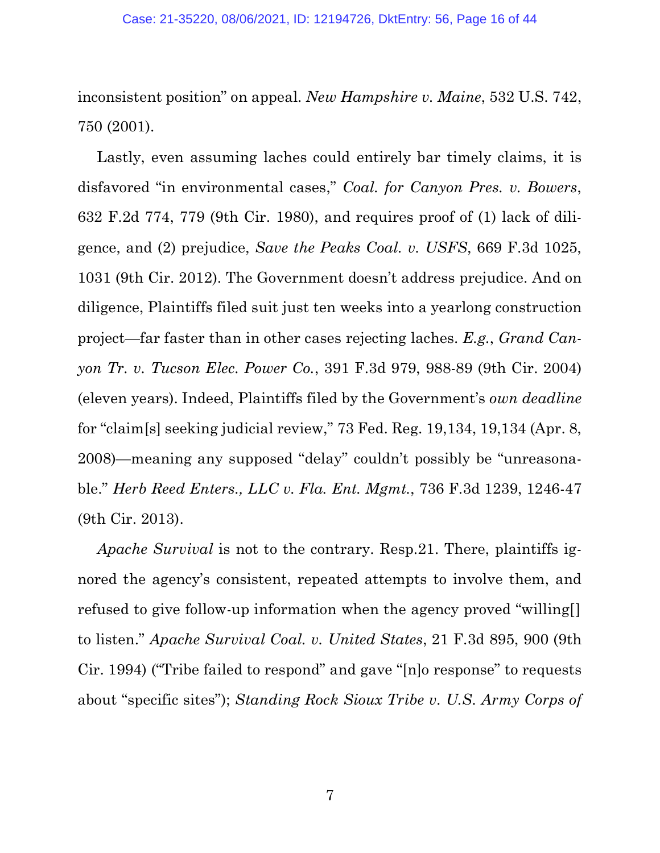inconsistent position" on appeal. *New Hampshire v. Maine*, 532 U.S. 742, 750 (2001).

Lastly, even assuming laches could entirely bar timely claims, it is disfavored "in environmental cases," *Coal. for Canyon Pres. v. Bowers*, 632 F.2d 774, 779 (9th Cir. 1980), and requires proof of (1) lack of diligence, and (2) prejudice, *Save the Peaks Coal. v. USFS*, 669 F.3d 1025, 1031 (9th Cir. 2012). The Government doesn't address prejudice. And on diligence, Plaintiffs filed suit just ten weeks into a yearlong construction project—far faster than in other cases rejecting laches. *E.g.*, *Grand Canyon Tr. v. Tucson Elec. Power Co.*, 391 F.3d 979, 988-89 (9th Cir. 2004) (eleven years). Indeed, Plaintiffs filed by the Government's *own deadline* for "claim[s] seeking judicial review," 73 Fed. Reg. 19,134, 19,134 (Apr. 8, 2008)—meaning any supposed "delay" couldn't possibly be "unreasonable." *Herb Reed Enters., LLC v. Fla. Ent. Mgmt.*, 736 F.3d 1239, 1246-47 (9th Cir. 2013).

*Apache Survival* is not to the contrary. Resp.21. There, plaintiffs ignored the agency's consistent, repeated attempts to involve them, and refused to give follow-up information when the agency proved "willing[] to listen." *Apache Survival Coal. v. United States*, 21 F.3d 895, 900 (9th Cir. 1994) ("Tribe failed to respond" and gave "[n]o response" to requests about "specific sites"); *Standing Rock Sioux Tribe v. U.S. Army Corps of*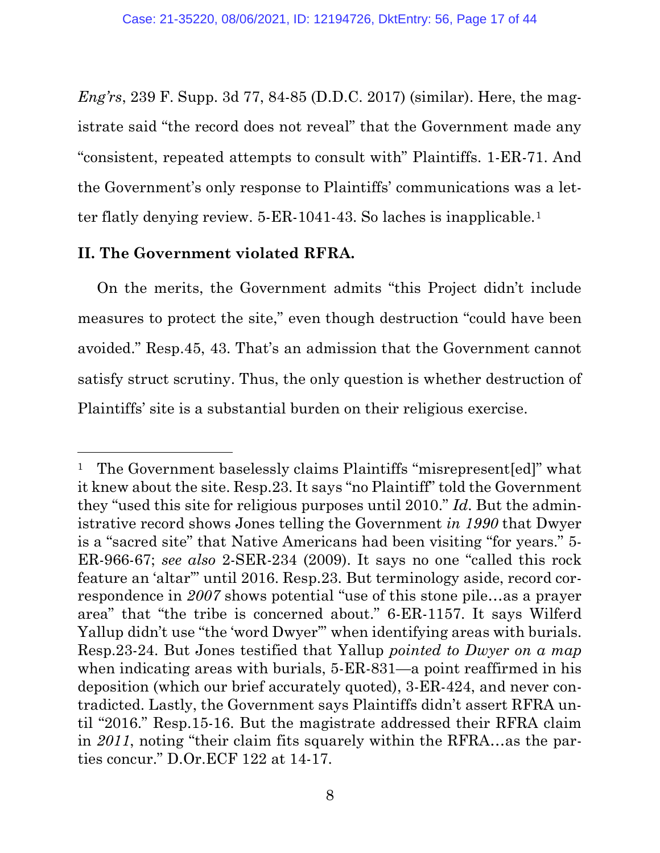*Eng'rs*, 239 F. Supp. 3d 77, 84-85 (D.D.C. 2017) (similar). Here, the magistrate said "the record does not reveal" that the Government made any "consistent, repeated attempts to consult with" Plaintiffs. 1-ER-71. And the Government's only response to Plaintiffs' communications was a letter flatly denying review. 5-ER-1041-43. So laches is inapplicable.[1](#page-16-0)

### **II. The Government violated RFRA.**

On the merits, the Government admits "this Project didn't include measures to protect the site," even though destruction "could have been avoided." Resp.45, 43. That's an admission that the Government cannot satisfy struct scrutiny. Thus, the only question is whether destruction of Plaintiffs' site is a substantial burden on their religious exercise.

<span id="page-16-0"></span><sup>&</sup>lt;sup>1</sup> The Government baselessly claims Plaintiffs "misrepresent[ed]" what it knew about the site. Resp.23. It says "no Plaintiff" told the Government they "used this site for religious purposes until 2010." *Id*. But the administrative record shows Jones telling the Government *in 1990* that Dwyer is a "sacred site" that Native Americans had been visiting "for years." 5- ER-966-67; *see also* 2-SER-234 (2009). It says no one "called this rock feature an 'altar'" until 2016. Resp.23. But terminology aside, record correspondence in *2007* shows potential "use of this stone pile…as a prayer area" that "the tribe is concerned about." 6-ER-1157. It says Wilferd Yallup didn't use "the 'word Dwyer" when identifying areas with burials. Resp.23-24. But Jones testified that Yallup *pointed to Dwyer on a map* when indicating areas with burials, 5-ER-831—a point reaffirmed in his deposition (which our brief accurately quoted), 3-ER-424, and never contradicted. Lastly, the Government says Plaintiffs didn't assert RFRA until "2016." Resp.15-16. But the magistrate addressed their RFRA claim in *2011*, noting "their claim fits squarely within the RFRA…as the parties concur." D.Or.ECF 122 at 14-17.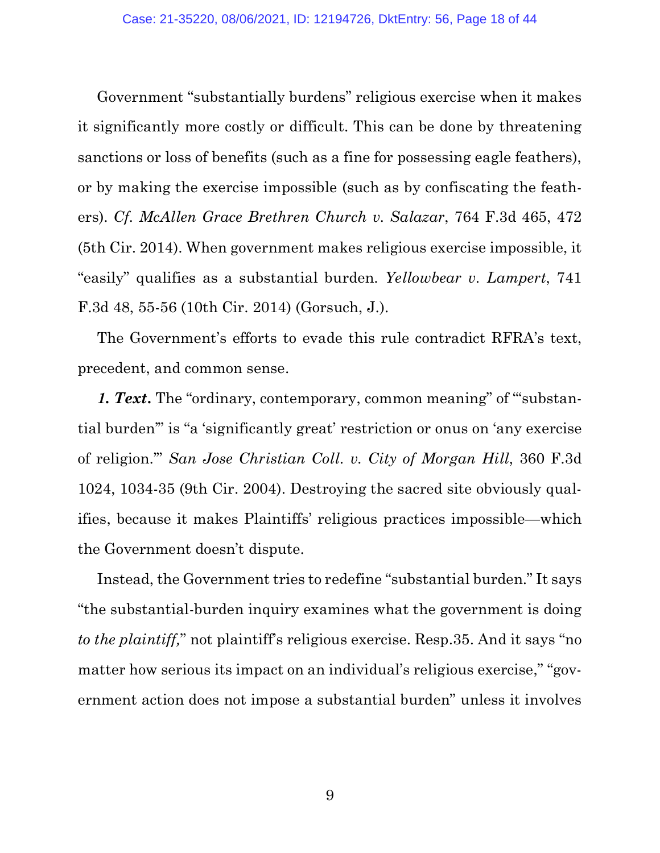Government "substantially burdens" religious exercise when it makes it significantly more costly or difficult. This can be done by threatening sanctions or loss of benefits (such as a fine for possessing eagle feathers), or by making the exercise impossible (such as by confiscating the feathers). *Cf. McAllen Grace Brethren Church v. Salazar*, 764 F.3d 465, 472 (5th Cir. 2014). When government makes religious exercise impossible, it "easily" qualifies as a substantial burden. *Yellowbear v. Lampert*, 741 F.3d 48, 55-56 (10th Cir. 2014) (Gorsuch, J.).

The Government's efforts to evade this rule contradict RFRA's text, precedent, and common sense.

*1. Text***.** The "ordinary, contemporary, common meaning" of "'substantial burden'" is "a 'significantly great' restriction or onus on 'any exercise of religion.'" *San Jose Christian Coll. v. City of Morgan Hill*, 360 F.3d 1024, 1034-35 (9th Cir. 2004). Destroying the sacred site obviously qualifies, because it makes Plaintiffs' religious practices impossible—which the Government doesn't dispute.

Instead, the Government tries to redefine "substantial burden." It says "the substantial-burden inquiry examines what the government is doing *to the plaintiff,*" not plaintiff's religious exercise. Resp.35. And it says "no matter how serious its impact on an individual's religious exercise," "government action does not impose a substantial burden" unless it involves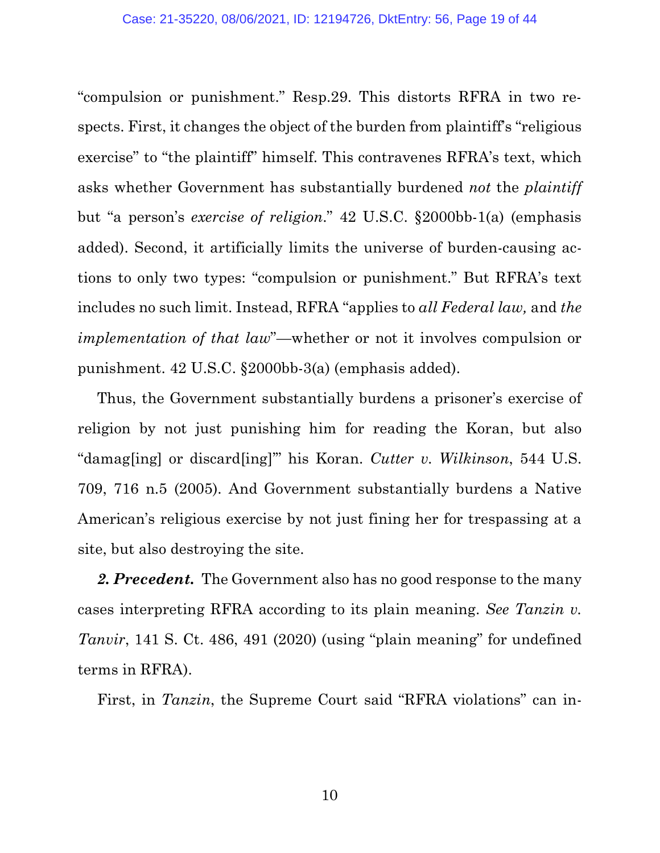"compulsion or punishment." Resp.29. This distorts RFRA in two respects. First, it changes the object of the burden from plaintiff's "religious exercise" to "the plaintiff" himself. This contravenes RFRA's text, which asks whether Government has substantially burdened *not* the *plaintiff* but "a person's *exercise of religion*." 42 U.S.C. §2000bb-1(a) (emphasis added). Second, it artificially limits the universe of burden-causing actions to only two types: "compulsion or punishment." But RFRA's text includes no such limit. Instead, RFRA "applies to *all Federal law,* and *the implementation of that law*"—whether or not it involves compulsion or punishment. 42 U.S.C. §2000bb-3(a) (emphasis added).

Thus, the Government substantially burdens a prisoner's exercise of religion by not just punishing him for reading the Koran, but also "damag[ing] or discard[ing]'" his Koran. *Cutter v. Wilkinson*, 544 U.S. 709, 716 n.5 (2005). And Government substantially burdens a Native American's religious exercise by not just fining her for trespassing at a site, but also destroying the site.

*2. Precedent.* The Government also has no good response to the many cases interpreting RFRA according to its plain meaning. *See Tanzin v. Tanvir*, 141 S. Ct. 486, 491 (2020) (using "plain meaning" for undefined terms in RFRA).

First, in *Tanzin*, the Supreme Court said "RFRA violations" can in-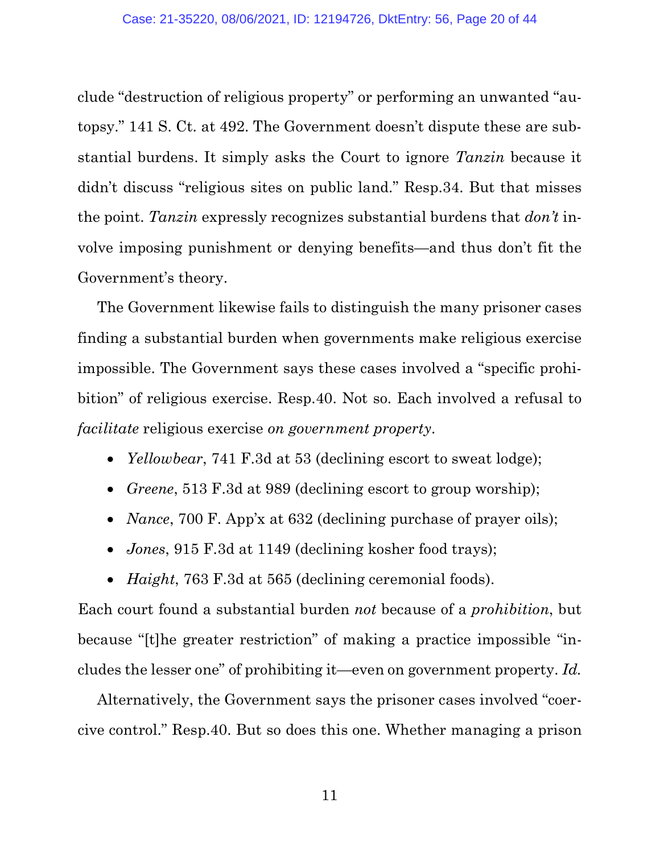clude "destruction of religious property" or performing an unwanted "autopsy." 141 S. Ct. at 492. The Government doesn't dispute these are substantial burdens. It simply asks the Court to ignore *Tanzin* because it didn't discuss "religious sites on public land." Resp.34. But that misses the point. *Tanzin* expressly recognizes substantial burdens that *don't* involve imposing punishment or denying benefits—and thus don't fit the Government's theory.

The Government likewise fails to distinguish the many prisoner cases finding a substantial burden when governments make religious exercise impossible. The Government says these cases involved a "specific prohibition" of religious exercise. Resp.40. Not so. Each involved a refusal to *facilitate* religious exercise *on government property*.

- *Yellowbear*, 741 F.3d at 53 (declining escort to sweat lodge);
- *Greene*, 513 F.3d at 989 (declining escort to group worship);
- *Nance*, 700 F. App'x at 632 (declining purchase of prayer oils);
- *Jones*, 915 F.3d at 1149 (declining kosher food trays);
- *Haight*, 763 F.3d at 565 (declining ceremonial foods).

Each court found a substantial burden *not* because of a *prohibition*, but because "[t]he greater restriction" of making a practice impossible "includes the lesser one" of prohibiting it—even on government property. *Id.*

Alternatively, the Government says the prisoner cases involved "coercive control." Resp.40. But so does this one. Whether managing a prison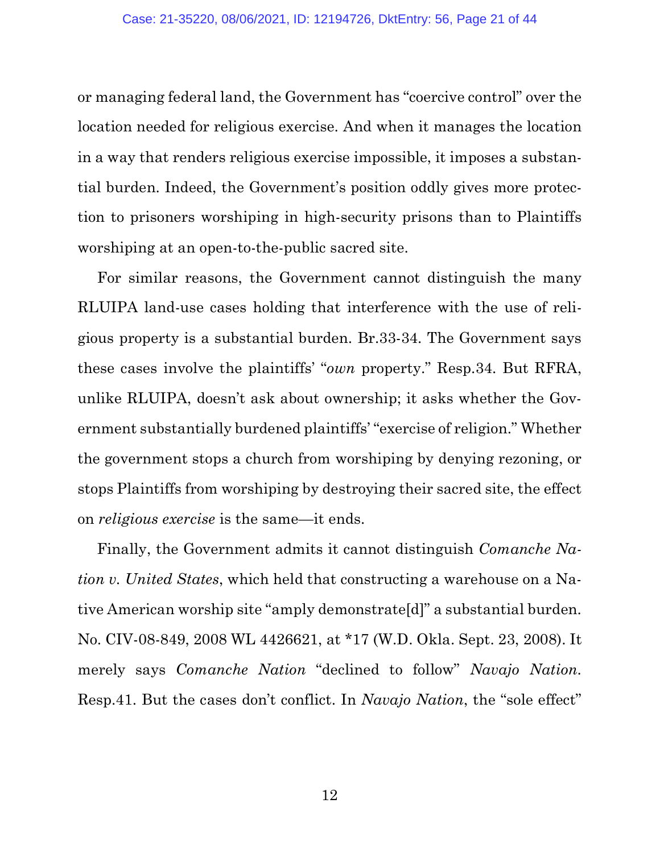or managing federal land, the Government has "coercive control" over the location needed for religious exercise. And when it manages the location in a way that renders religious exercise impossible, it imposes a substantial burden. Indeed, the Government's position oddly gives more protection to prisoners worshiping in high-security prisons than to Plaintiffs worshiping at an open-to-the-public sacred site.

For similar reasons, the Government cannot distinguish the many RLUIPA land-use cases holding that interference with the use of religious property is a substantial burden. Br.33-34. The Government says these cases involve the plaintiffs' "*own* property." Resp.34. But RFRA, unlike RLUIPA, doesn't ask about ownership; it asks whether the Government substantially burdened plaintiffs' "exercise of religion." Whether the government stops a church from worshiping by denying rezoning, or stops Plaintiffs from worshiping by destroying their sacred site, the effect on *religious exercise* is the same—it ends.

Finally, the Government admits it cannot distinguish *Comanche Nation v. United States*, which held that constructing a warehouse on a Native American worship site "amply demonstrate[d]" a substantial burden. No. CIV-08-849, 2008 WL 4426621, at \*17 (W.D. Okla. Sept. 23, 2008). It merely says *Comanche Nation* "declined to follow" *Navajo Nation*. Resp.41. But the cases don't conflict. In *Navajo Nation*, the "sole effect"

12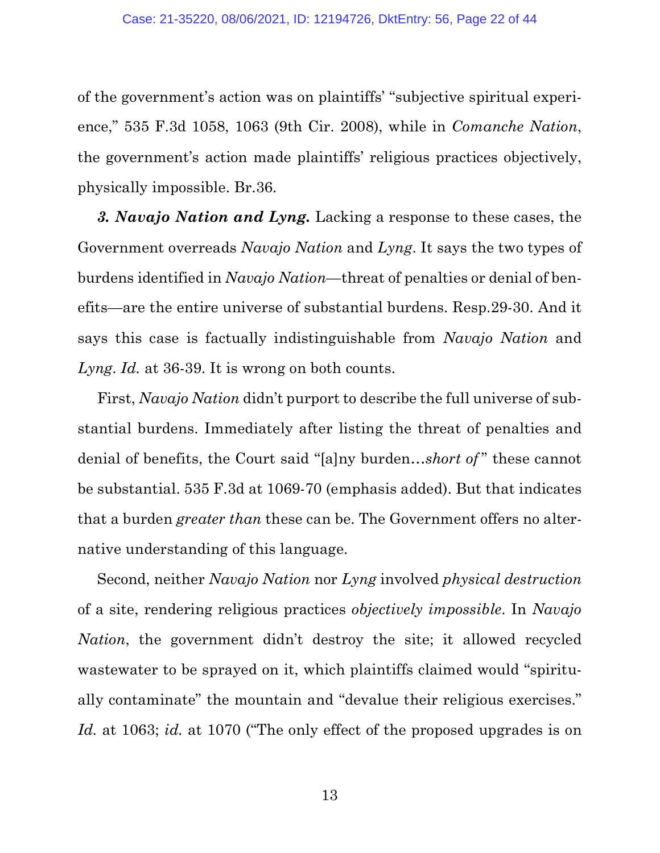of the government's action was on plaintiffs' "subjective spiritual experience," 535 F.3d 1058, 1063 (9th Cir. 2008), while in *Comanche Nation*, the government's action made plaintiffs' religious practices objectively, physically impossible. Br.36.

*3. Navajo Nation and Lyng.* Lacking a response to these cases, the Government overreads *Navajo Nation* and *Lyng*. It says the two types of burdens identified in *Navajo Nation*—threat of penalties or denial of benefits—are the entire universe of substantial burdens. Resp.29-30. And it says this case is factually indistinguishable from *Navajo Nation* and *Lyng*. *Id.* at 36-39. It is wrong on both counts.

First, *Navajo Nation* didn't purport to describe the full universe of substantial burdens. Immediately after listing the threat of penalties and denial of benefits, the Court said "[a]ny burden…*short of* " these cannot be substantial. 535 F.3d at 1069-70 (emphasis added). But that indicates that a burden *greater than* these can be. The Government offers no alternative understanding of this language.

Second, neither *Navajo Nation* nor *Lyng* involved *physical destruction* of a site, rendering religious practices *objectively impossible*. In *Navajo Nation*, the government didn't destroy the site; it allowed recycled wastewater to be sprayed on it, which plaintiffs claimed would "spiritually contaminate" the mountain and "devalue their religious exercises." *Id.* at 1063; *id.* at 1070 ("The only effect of the proposed upgrades is on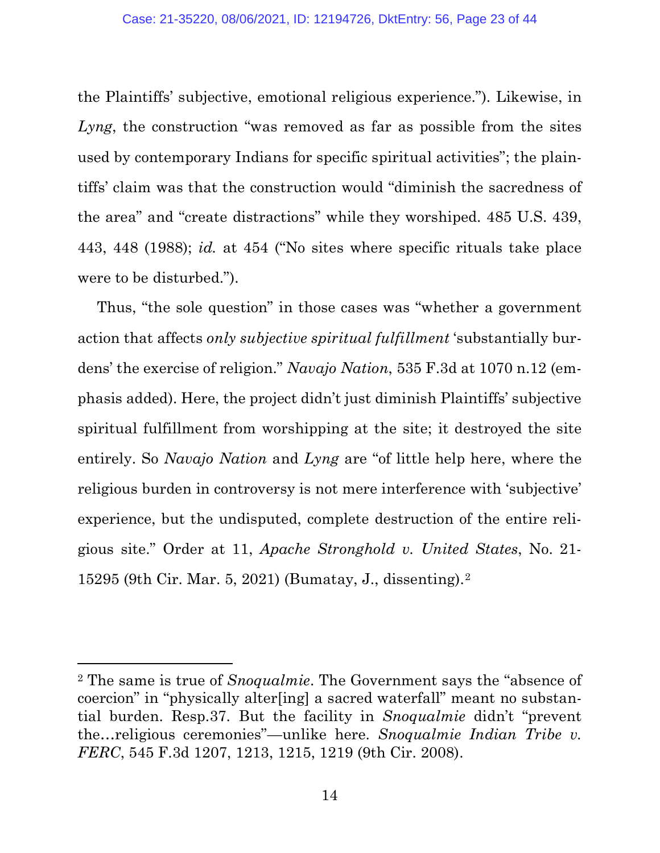the Plaintiffs' subjective, emotional religious experience."). Likewise, in *Lyng*, the construction "was removed as far as possible from the sites used by contemporary Indians for specific spiritual activities"; the plaintiffs' claim was that the construction would "diminish the sacredness of the area" and "create distractions" while they worshiped. 485 U.S. 439, 443, 448 (1988); *id.* at 454 ("No sites where specific rituals take place were to be disturbed.").

Thus, "the sole question" in those cases was "whether a government action that affects *only subjective spiritual fulfillment* 'substantially burdens' the exercise of religion." *Navajo Nation*, 535 F.3d at 1070 n.12 (emphasis added). Here, the project didn't just diminish Plaintiffs' subjective spiritual fulfillment from worshipping at the site; it destroyed the site entirely. So *Navajo Nation* and *Lyng* are "of little help here, where the religious burden in controversy is not mere interference with 'subjective' experience, but the undisputed, complete destruction of the entire religious site." Order at 11, *Apache Stronghold v. United States*, No. 21- 15295 (9th Cir. Mar. 5, 2021) (Bumatay, J., dissenting).[2](#page-22-0)

<span id="page-22-0"></span><sup>2</sup> The same is true of *Snoqualmie*. The Government says the "absence of coercion" in "physically alter[ing] a sacred waterfall" meant no substantial burden. Resp.37. But the facility in *Snoqualmie* didn't "prevent the…religious ceremonies"—unlike here. *Snoqualmie Indian Tribe v. FERC*, 545 F.3d 1207, 1213, 1215, 1219 (9th Cir. 2008).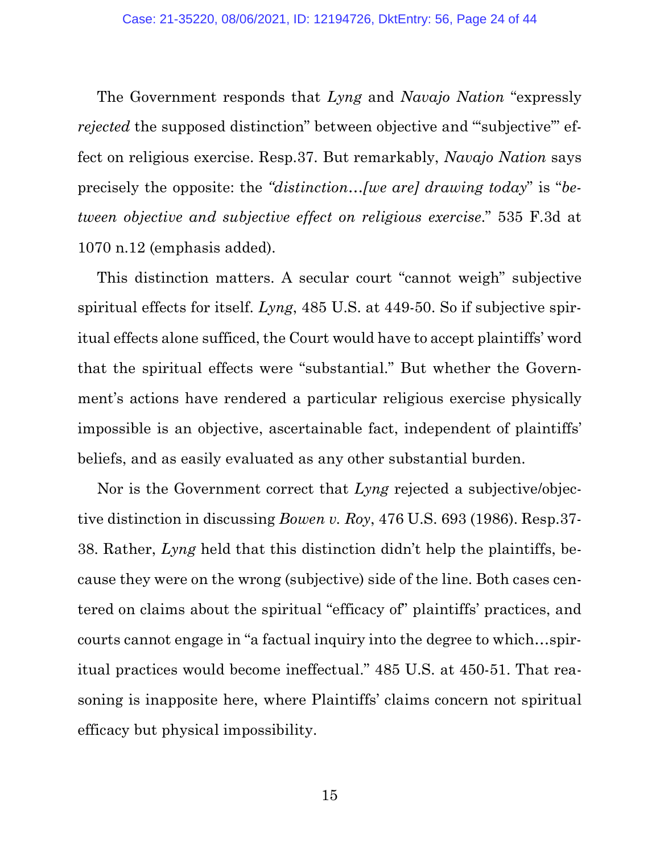The Government responds that *Lyng* and *Navajo Nation* "expressly *rejected* the supposed distinction" between objective and "subjective" effect on religious exercise. Resp.37. But remarkably, *Navajo Nation* says precisely the opposite: the *"distinction…[we are] drawing today*" is "*between objective and subjective effect on religious exercise*." 535 F.3d at 1070 n.12 (emphasis added).

This distinction matters. A secular court "cannot weigh" subjective spiritual effects for itself. *Lyng*, 485 U.S. at 449-50. So if subjective spiritual effects alone sufficed, the Court would have to accept plaintiffs' word that the spiritual effects were "substantial." But whether the Government's actions have rendered a particular religious exercise physically impossible is an objective, ascertainable fact, independent of plaintiffs' beliefs, and as easily evaluated as any other substantial burden.

Nor is the Government correct that *Lyng* rejected a subjective/objective distinction in discussing *Bowen v. Roy*, 476 U.S. 693 (1986). Resp.37- 38. Rather, *Lyng* held that this distinction didn't help the plaintiffs, because they were on the wrong (subjective) side of the line. Both cases centered on claims about the spiritual "efficacy of" plaintiffs' practices, and courts cannot engage in "a factual inquiry into the degree to which…spiritual practices would become ineffectual." 485 U.S. at 450-51. That reasoning is inapposite here, where Plaintiffs' claims concern not spiritual efficacy but physical impossibility.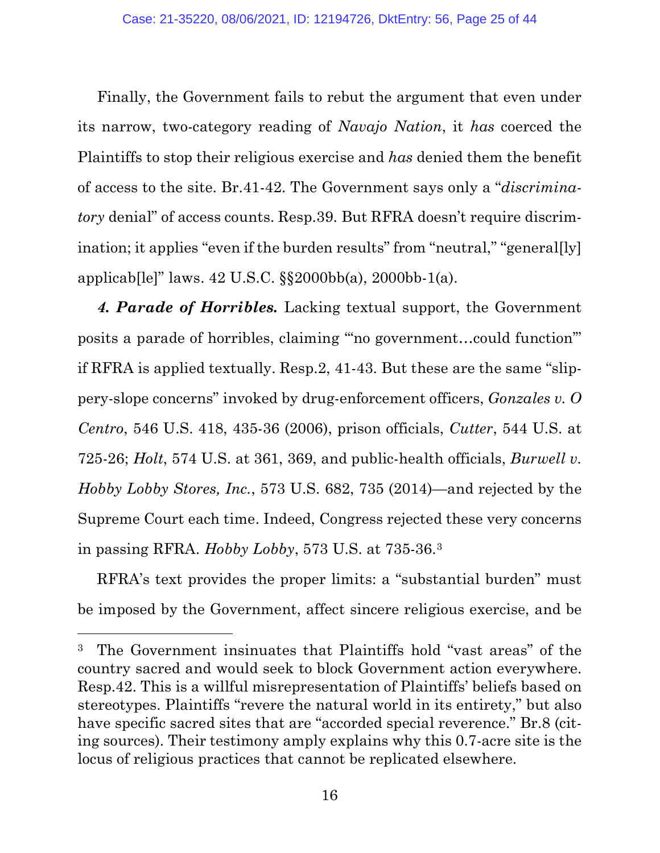Finally, the Government fails to rebut the argument that even under its narrow, two-category reading of *Navajo Nation*, it *has* coerced the Plaintiffs to stop their religious exercise and *has* denied them the benefit of access to the site. Br.41-42. The Government says only a "*discriminatory* denial" of access counts. Resp.39. But RFRA doesn't require discrimination; it applies "even if the burden results" from "neutral," "general[ly] applicab[le]" laws. 42 U.S.C. §§2000bb(a), 2000bb-1(a).

*4. Parade of Horribles.* Lacking textual support, the Government posits a parade of horribles, claiming "'no government…could function'" if RFRA is applied textually. Resp.2, 41-43. But these are the same "slippery-slope concerns" invoked by drug-enforcement officers, *Gonzales v. O Centro*, 546 U.S. 418, 435-36 (2006), prison officials, *Cutter*, 544 U.S. at 725-26; *Holt*, 574 U.S. at 361, 369, and public-health officials, *Burwell v. Hobby Lobby Stores, Inc.*, 573 U.S. 682, 735 (2014)—and rejected by the Supreme Court each time. Indeed, Congress rejected these very concerns in passing RFRA. *Hobby Lobby*, 573 U.S. at 735-36.[3](#page-24-0)

RFRA's text provides the proper limits: a "substantial burden" must be imposed by the Government, affect sincere religious exercise, and be

<span id="page-24-0"></span><sup>3</sup> The Government insinuates that Plaintiffs hold "vast areas" of the country sacred and would seek to block Government action everywhere. Resp.42. This is a willful misrepresentation of Plaintiffs' beliefs based on stereotypes. Plaintiffs "revere the natural world in its entirety," but also have specific sacred sites that are "accorded special reverence." Br.8 (citing sources). Their testimony amply explains why this 0.7-acre site is the locus of religious practices that cannot be replicated elsewhere.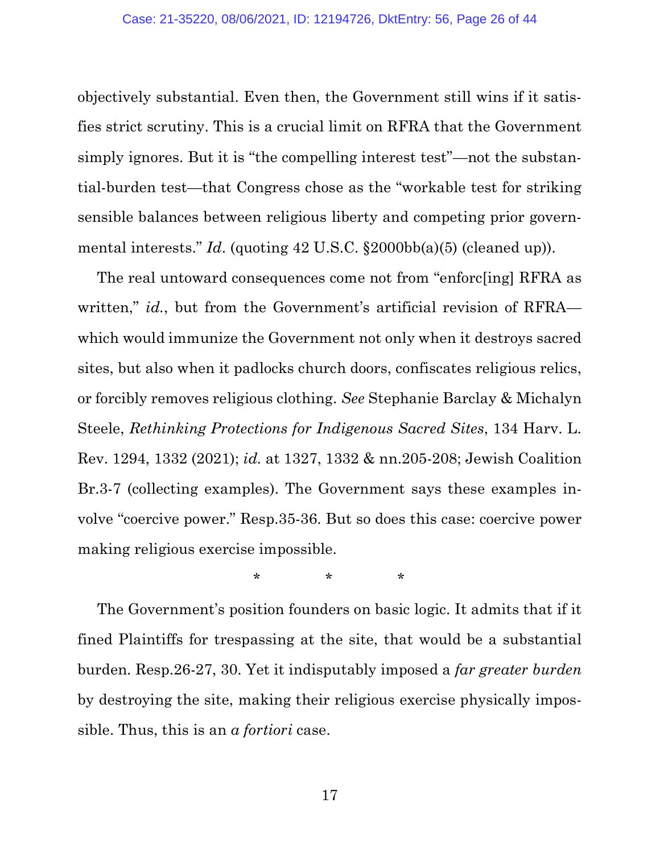objectively substantial. Even then, the Government still wins if it satisfies strict scrutiny. This is a crucial limit on RFRA that the Government simply ignores. But it is "the compelling interest test"—not the substantial-burden test—that Congress chose as the "workable test for striking sensible balances between religious liberty and competing prior governmental interests." *Id.* (quoting 42 U.S.C. §2000bb(a)(5) (cleaned up)).

The real untoward consequences come not from "enforc[ing] RFRA as written," *id.*, but from the Government's artificial revision of RFRA which would immunize the Government not only when it destroys sacred sites, but also when it padlocks church doors, confiscates religious relics, or forcibly removes religious clothing. *See* Stephanie Barclay & Michalyn Steele, *Rethinking Protections for Indigenous Sacred Sites*, 134 Harv. L. Rev. 1294, 1332 (2021); *id.* at 1327, 1332 & nn.205-208; Jewish Coalition Br.3-7 (collecting examples). The Government says these examples involve "coercive power." Resp.35-36. But so does this case: coercive power making religious exercise impossible.

\*\*\*

The Government's position founders on basic logic. It admits that if it fined Plaintiffs for trespassing at the site, that would be a substantial burden. Resp.26-27, 30. Yet it indisputably imposed a *far greater burden* by destroying the site, making their religious exercise physically impossible. Thus, this is an *a fortiori* case.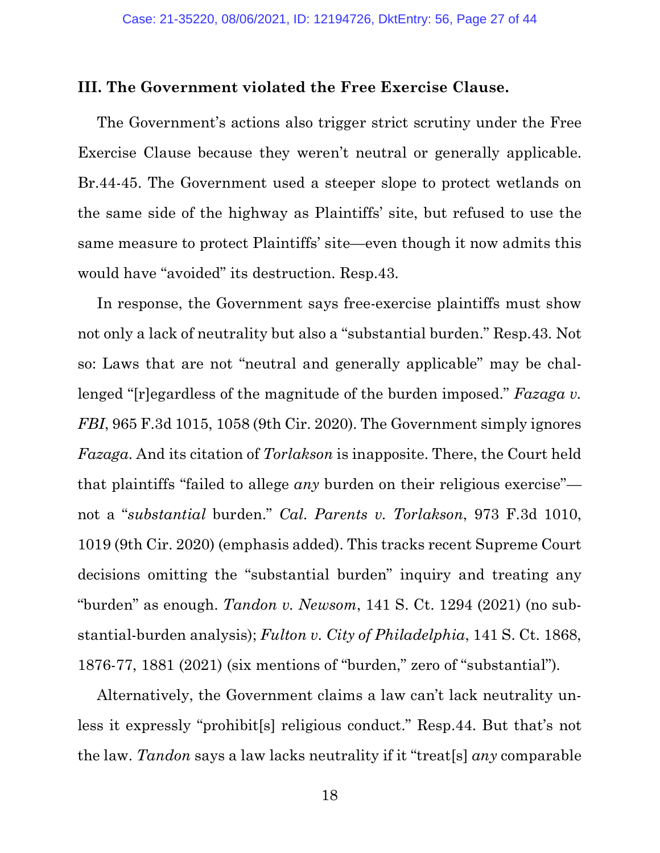#### **III. The Government violated the Free Exercise Clause.**

The Government's actions also trigger strict scrutiny under the Free Exercise Clause because they weren't neutral or generally applicable. Br.44-45. The Government used a steeper slope to protect wetlands on the same side of the highway as Plaintiffs' site, but refused to use the same measure to protect Plaintiffs' site—even though it now admits this would have "avoided" its destruction. Resp.43.

In response, the Government says free-exercise plaintiffs must show not only a lack of neutrality but also a "substantial burden." Resp.43. Not so: Laws that are not "neutral and generally applicable" may be challenged "[r]egardless of the magnitude of the burden imposed." *Fazaga v. FBI*, 965 F.3d 1015, 1058 (9th Cir. 2020). The Government simply ignores *Fazaga*. And its citation of *Torlakson* is inapposite. There, the Court held that plaintiffs "failed to allege *any* burden on their religious exercise" not a "*substantial* burden." *Cal. Parents v. Torlakson*, 973 F.3d 1010, 1019 (9th Cir. 2020) (emphasis added). This tracks recent Supreme Court decisions omitting the "substantial burden" inquiry and treating any "burden" as enough. *Tandon v. Newsom*, 141 S. Ct. 1294 (2021) (no substantial-burden analysis); *Fulton v. City of Philadelphia*, 141 S. Ct. 1868, 1876-77, 1881 (2021) (six mentions of "burden," zero of "substantial")*.* 

Alternatively, the Government claims a law can't lack neutrality unless it expressly "prohibit[s] religious conduct." Resp.44. But that's not the law. *Tandon* says a law lacks neutrality if it "treat[s] *any* comparable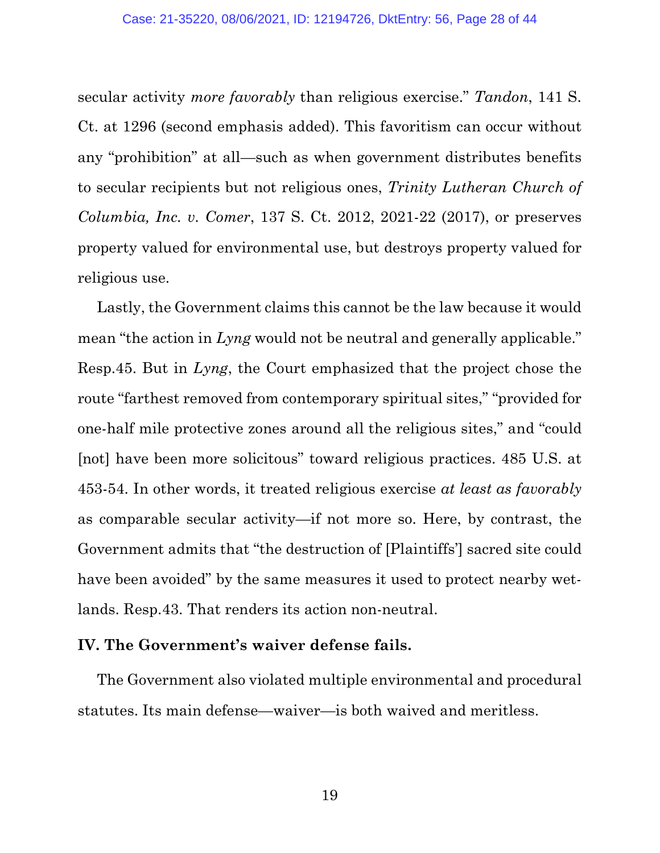secular activity *more favorably* than religious exercise." *Tandon*, 141 S. Ct. at 1296 (second emphasis added). This favoritism can occur without any "prohibition" at all—such as when government distributes benefits to secular recipients but not religious ones, *Trinity Lutheran Church of Columbia, Inc. v. Comer*, 137 S. Ct. 2012, 2021-22 (2017), or preserves property valued for environmental use, but destroys property valued for religious use.

Lastly, the Government claims this cannot be the law because it would mean "the action in *Lyng* would not be neutral and generally applicable." Resp.45. But in *Lyng*, the Court emphasized that the project chose the route "farthest removed from contemporary spiritual sites," "provided for one-half mile protective zones around all the religious sites," and "could [not] have been more solicitous" toward religious practices. 485 U.S. at 453-54. In other words, it treated religious exercise *at least as favorably* as comparable secular activity—if not more so. Here, by contrast, the Government admits that "the destruction of [Plaintiffs'] sacred site could have been avoided" by the same measures it used to protect nearby wetlands. Resp.43. That renders its action non-neutral.

### **IV. The Government's waiver defense fails.**

The Government also violated multiple environmental and procedural statutes. Its main defense—waiver—is both waived and meritless.

19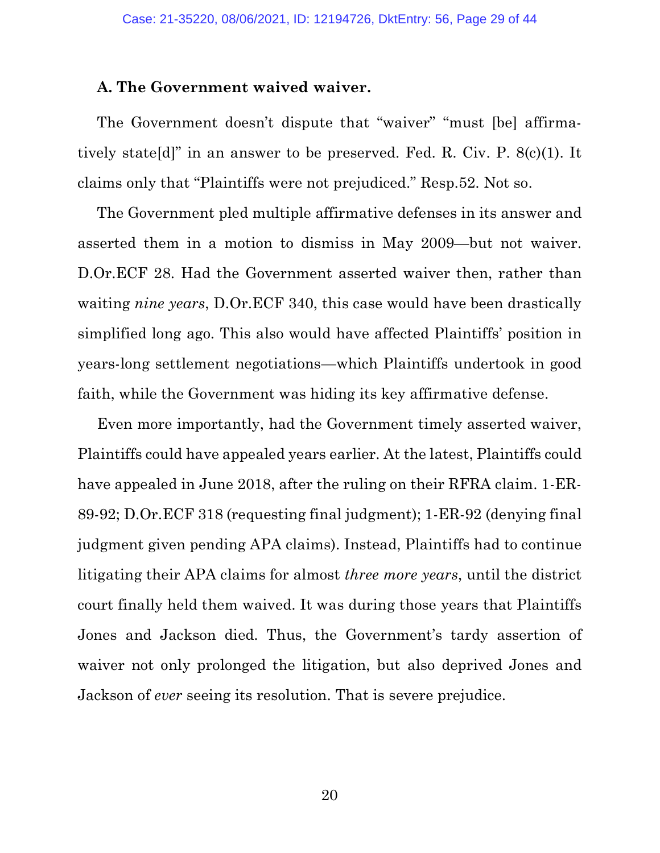#### **A. The Government waived waiver.**

The Government doesn't dispute that "waiver" "must [be] affirmatively state[d]" in an answer to be preserved. Fed. R. Civ. P. 8(c)(1). It claims only that "Plaintiffs were not prejudiced." Resp.52. Not so.

The Government pled multiple affirmative defenses in its answer and asserted them in a motion to dismiss in May 2009—but not waiver. D.Or.ECF 28. Had the Government asserted waiver then, rather than waiting *nine years*, D.Or.ECF 340, this case would have been drastically simplified long ago. This also would have affected Plaintiffs' position in years-long settlement negotiations—which Plaintiffs undertook in good faith, while the Government was hiding its key affirmative defense.

Even more importantly, had the Government timely asserted waiver, Plaintiffs could have appealed years earlier. At the latest, Plaintiffs could have appealed in June 2018, after the ruling on their RFRA claim. 1-ER-89-92; D.Or.ECF 318 (requesting final judgment); 1-ER-92 (denying final judgment given pending APA claims). Instead, Plaintiffs had to continue litigating their APA claims for almost *three more years*, until the district court finally held them waived. It was during those years that Plaintiffs Jones and Jackson died. Thus, the Government's tardy assertion of waiver not only prolonged the litigation, but also deprived Jones and Jackson of *ever* seeing its resolution. That is severe prejudice.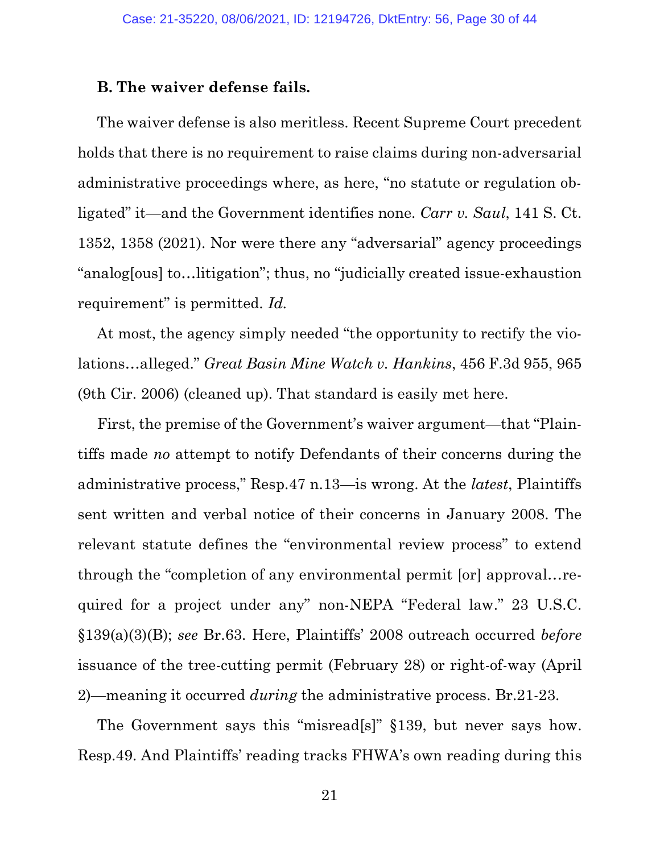#### **B. The waiver defense fails.**

The waiver defense is also meritless. Recent Supreme Court precedent holds that there is no requirement to raise claims during non-adversarial administrative proceedings where, as here, "no statute or regulation obligated" it—and the Government identifies none. *Carr v. Saul*, 141 S. Ct. 1352, 1358 (2021). Nor were there any "adversarial" agency proceedings "analog[ous] to…litigation"; thus, no "judicially created issue-exhaustion requirement" is permitted. *Id.*

At most, the agency simply needed "the opportunity to rectify the violations…alleged." *Great Basin Mine Watch v. Hankins*, 456 F.3d 955, 965 (9th Cir. 2006) (cleaned up). That standard is easily met here.

First, the premise of the Government's waiver argument—that "Plaintiffs made *no* attempt to notify Defendants of their concerns during the administrative process," Resp.47 n.13—is wrong. At the *latest*, Plaintiffs sent written and verbal notice of their concerns in January 2008. The relevant statute defines the "environmental review process" to extend through the "completion of any environmental permit [or] approval…required for a project under any" non-NEPA "Federal law." 23 U.S.C. §139(a)(3)(B); *see* Br.63. Here, Plaintiffs' 2008 outreach occurred *before* issuance of the tree-cutting permit (February 28) or right-of-way (April 2)—meaning it occurred *during* the administrative process. Br.21-23.

The Government says this "misread[s]" §139, but never says how. Resp.49. And Plaintiffs' reading tracks FHWA's own reading during this

21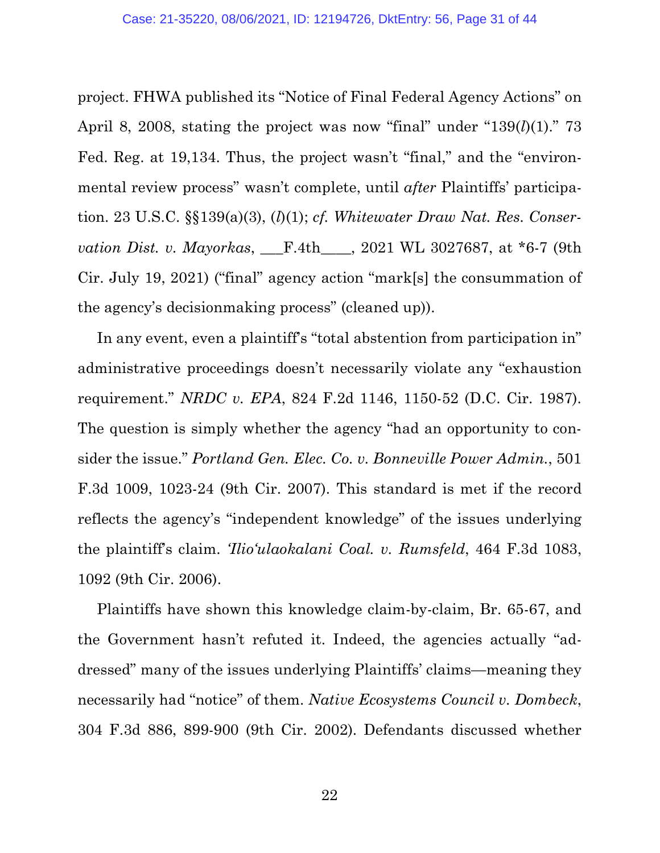project. FHWA published its "Notice of Final Federal Agency Actions" on April 8, 2008, stating the project was now "final" under "139(*l*)(1)." 73 Fed. Reg. at 19,134. Thus, the project wasn't "final," and the "environmental review process" wasn't complete, until *after* Plaintiffs' participation. 23 U.S.C. §§139(a)(3), (*l*)(1); *cf. Whitewater Draw Nat. Res. Conservation Dist. v. Mayorkas*, \_\_\_F.4th\_\_\_\_, 2021 WL 3027687, at \*6-7 (9th Cir. July 19, 2021) ("final" agency action "mark[s] the consummation of the agency's decisionmaking process" (cleaned up)).

In any event, even a plaintiff's "total abstention from participation in" administrative proceedings doesn't necessarily violate any "exhaustion requirement." *NRDC v. EPA*, 824 F.2d 1146, 1150-52 (D.C. Cir. 1987). The question is simply whether the agency "had an opportunity to consider the issue." *Portland Gen. Elec. Co. v. Bonneville Power Admin.*, 501 F.3d 1009, 1023-24 (9th Cir. 2007). This standard is met if the record reflects the agency's "independent knowledge" of the issues underlying the plaintiff's claim. *'Ilio'ulaokalani Coal. v. Rumsfeld*, 464 F.3d 1083, 1092 (9th Cir. 2006).

Plaintiffs have shown this knowledge claim-by-claim, Br. 65-67, and the Government hasn't refuted it. Indeed, the agencies actually "addressed" many of the issues underlying Plaintiffs' claims—meaning they necessarily had "notice" of them. *Native Ecosystems Council v. Dombeck*, 304 F.3d 886, 899-900 (9th Cir. 2002). Defendants discussed whether

22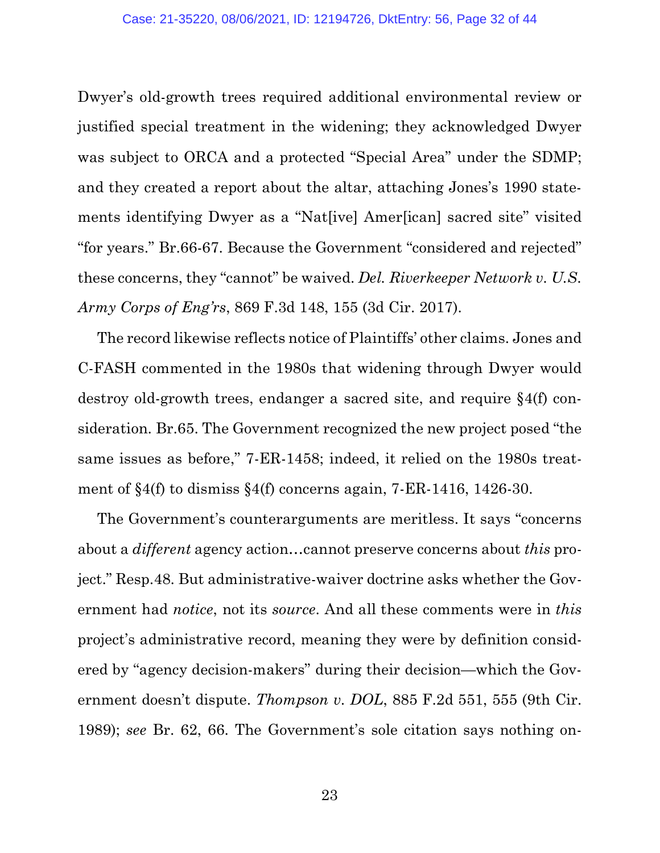Dwyer's old-growth trees required additional environmental review or justified special treatment in the widening; they acknowledged Dwyer was subject to ORCA and a protected "Special Area" under the SDMP; and they created a report about the altar, attaching Jones's 1990 statements identifying Dwyer as a "Nat[ive] Amer[ican] sacred site" visited "for years." Br.66-67. Because the Government "considered and rejected" these concerns, they "cannot" be waived. *Del. Riverkeeper Network v. U.S. Army Corps of Eng'rs*, 869 F.3d 148, 155 (3d Cir. 2017).

The record likewise reflects notice of Plaintiffs' other claims. Jones and C-FASH commented in the 1980s that widening through Dwyer would destroy old-growth trees, endanger a sacred site, and require §4(f) consideration. Br.65. The Government recognized the new project posed "the same issues as before," 7-ER-1458; indeed, it relied on the 1980s treatment of  $\S4(f)$  to dismiss  $\S4(f)$  concerns again, 7-ER-1416, 1426-30.

The Government's counterarguments are meritless. It says "concerns about a *different* agency action…cannot preserve concerns about *this* project." Resp.48. But administrative-waiver doctrine asks whether the Government had *notice*, not its *source*. And all these comments were in *this*  project's administrative record, meaning they were by definition considered by "agency decision-makers" during their decision—which the Government doesn't dispute. *Thompson v. DOL*, 885 F.2d 551, 555 (9th Cir. 1989); *see* Br. 62, 66. The Government's sole citation says nothing on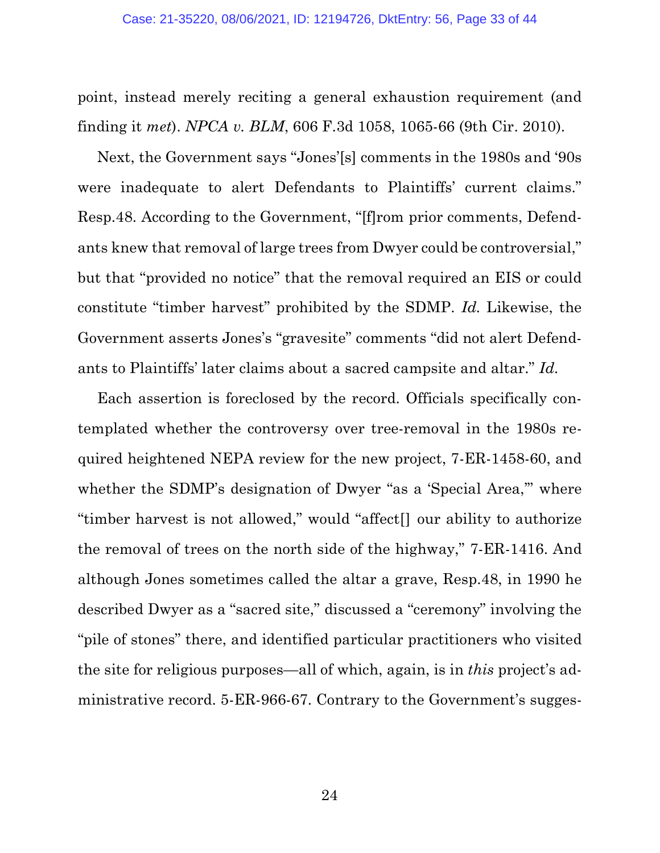point, instead merely reciting a general exhaustion requirement (and finding it *met*). *NPCA v. BLM*, 606 F.3d 1058, 1065-66 (9th Cir. 2010).

Next, the Government says "Jones'[s] comments in the 1980s and '90s were inadequate to alert Defendants to Plaintiffs' current claims." Resp.48. According to the Government, "[f]rom prior comments, Defendants knew that removal of large trees from Dwyer could be controversial," but that "provided no notice" that the removal required an EIS or could constitute "timber harvest" prohibited by the SDMP. *Id.* Likewise, the Government asserts Jones's "gravesite" comments "did not alert Defendants to Plaintiffs' later claims about a sacred campsite and altar." *Id.*

Each assertion is foreclosed by the record. Officials specifically contemplated whether the controversy over tree-removal in the 1980s required heightened NEPA review for the new project, 7-ER-1458-60, and whether the SDMP's designation of Dwyer "as a 'Special Area," where "timber harvest is not allowed," would "affect[] our ability to authorize the removal of trees on the north side of the highway," 7-ER-1416. And although Jones sometimes called the altar a grave, Resp.48, in 1990 he described Dwyer as a "sacred site," discussed a "ceremony" involving the "pile of stones" there, and identified particular practitioners who visited the site for religious purposes—all of which, again, is in *this* project's administrative record. 5-ER-966-67. Contrary to the Government's sugges-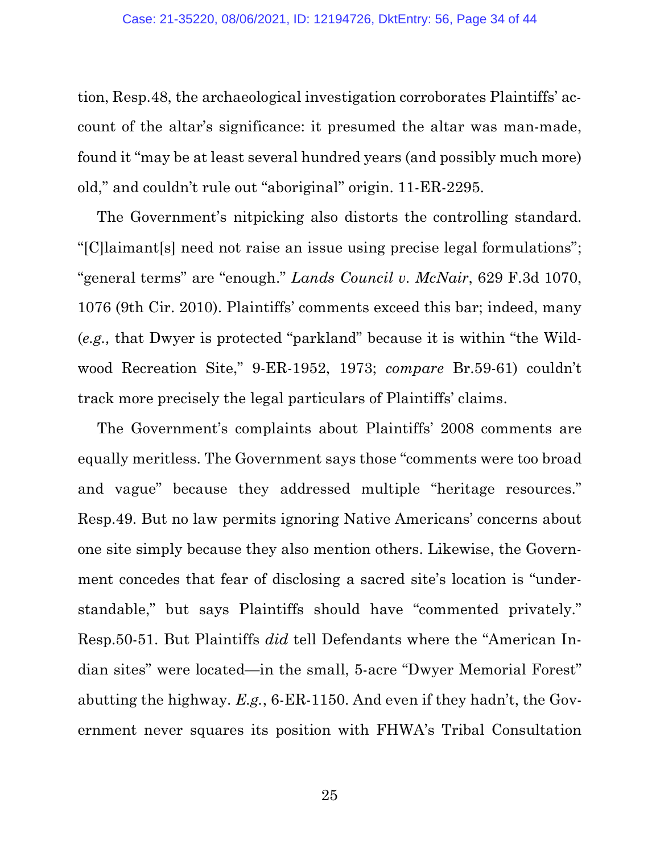tion, Resp.48, the archaeological investigation corroborates Plaintiffs' account of the altar's significance: it presumed the altar was man-made, found it "may be at least several hundred years (and possibly much more) old," and couldn't rule out "aboriginal" origin. 11-ER-2295.

The Government's nitpicking also distorts the controlling standard. "[C]laimant[s] need not raise an issue using precise legal formulations"; "general terms" are "enough." *Lands Council v. McNair*, 629 F.3d 1070, 1076 (9th Cir. 2010). Plaintiffs' comments exceed this bar; indeed, many (*e.g.,* that Dwyer is protected "parkland" because it is within "the Wildwood Recreation Site," 9-ER-1952, 1973; *compare* Br.59-61) couldn't track more precisely the legal particulars of Plaintiffs' claims.

The Government's complaints about Plaintiffs' 2008 comments are equally meritless. The Government says those "comments were too broad and vague" because they addressed multiple "heritage resources." Resp.49. But no law permits ignoring Native Americans' concerns about one site simply because they also mention others. Likewise, the Government concedes that fear of disclosing a sacred site's location is "understandable," but says Plaintiffs should have "commented privately." Resp.50-51. But Plaintiffs *did* tell Defendants where the "American Indian sites" were located—in the small, 5-acre "Dwyer Memorial Forest" abutting the highway. *E.g.*, 6-ER-1150. And even if they hadn't, the Government never squares its position with FHWA's Tribal Consultation

25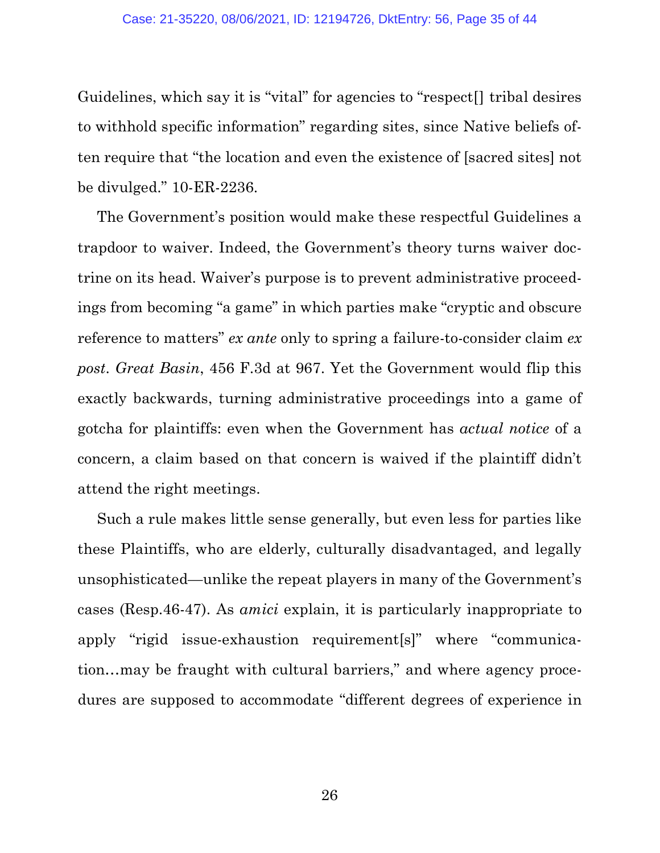Guidelines, which say it is "vital" for agencies to "respect[] tribal desires to withhold specific information" regarding sites, since Native beliefs often require that "the location and even the existence of [sacred sites] not be divulged." 10-ER-2236.

The Government's position would make these respectful Guidelines a trapdoor to waiver. Indeed, the Government's theory turns waiver doctrine on its head. Waiver's purpose is to prevent administrative proceedings from becoming "a game" in which parties make "cryptic and obscure reference to matters" *ex ante* only to spring a failure-to-consider claim *ex post*. *Great Basin*, 456 F.3d at 967. Yet the Government would flip this exactly backwards, turning administrative proceedings into a game of gotcha for plaintiffs: even when the Government has *actual notice* of a concern, a claim based on that concern is waived if the plaintiff didn't attend the right meetings.

Such a rule makes little sense generally, but even less for parties like these Plaintiffs, who are elderly, culturally disadvantaged, and legally unsophisticated—unlike the repeat players in many of the Government's cases (Resp.46-47). As *amici* explain, it is particularly inappropriate to apply "rigid issue-exhaustion requirement[s]" where "communication…may be fraught with cultural barriers," and where agency procedures are supposed to accommodate "different degrees of experience in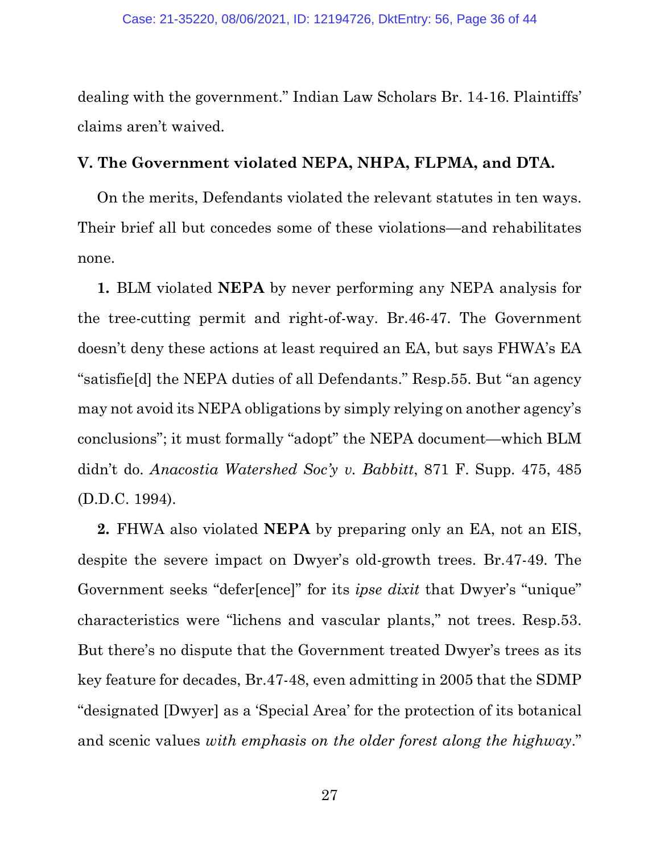dealing with the government." Indian Law Scholars Br. 14-16. Plaintiffs' claims aren't waived.

#### **V. The Government violated NEPA, NHPA, FLPMA, and DTA.**

On the merits, Defendants violated the relevant statutes in ten ways. Their brief all but concedes some of these violations—and rehabilitates none.

**1.** BLM violated **NEPA** by never performing any NEPA analysis for the tree-cutting permit and right-of-way. Br.46-47. The Government doesn't deny these actions at least required an EA, but says FHWA's EA "satisfie[d] the NEPA duties of all Defendants." Resp.55. But "an agency may not avoid its NEPA obligations by simply relying on another agency's conclusions"; it must formally "adopt" the NEPA document—which BLM didn't do. *Anacostia Watershed Soc'y v. Babbitt*, 871 F. Supp. 475, 485 (D.D.C. 1994).

**2.** FHWA also violated **NEPA** by preparing only an EA, not an EIS, despite the severe impact on Dwyer's old-growth trees. Br.47-49. The Government seeks "defer[ence]" for its *ipse dixit* that Dwyer's "unique" characteristics were "lichens and vascular plants," not trees. Resp.53. But there's no dispute that the Government treated Dwyer's trees as its key feature for decades, Br.47-48, even admitting in 2005 that the SDMP "designated [Dwyer] as a 'Special Area' for the protection of its botanical and scenic values *with emphasis on the older forest along the highway*."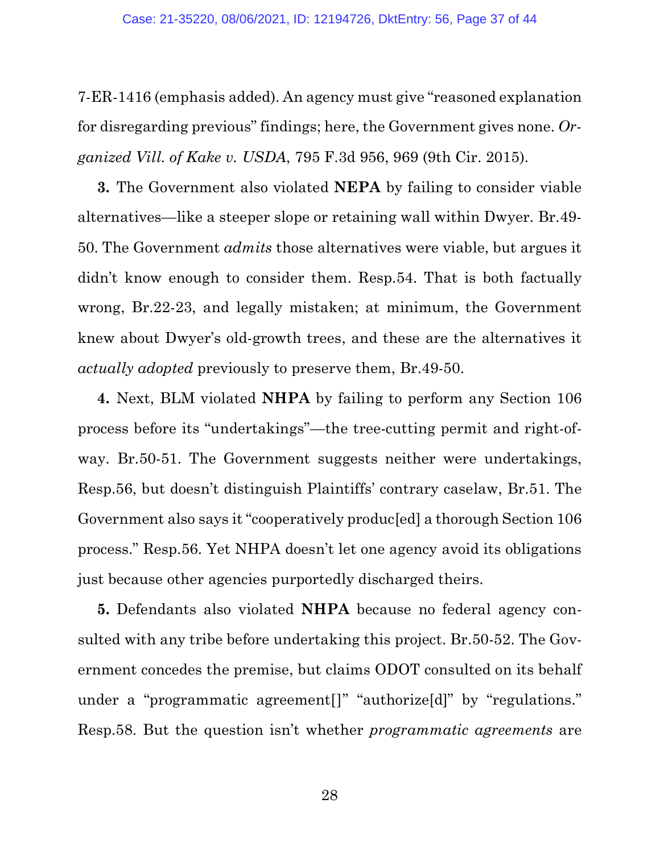7-ER-1416 (emphasis added). An agency must give "reasoned explanation for disregarding previous" findings; here, the Government gives none. *Organized Vill. of Kake v. USDA*, 795 F.3d 956, 969 (9th Cir. 2015).

**3.** The Government also violated **NEPA** by failing to consider viable alternatives—like a steeper slope or retaining wall within Dwyer. Br.49- 50. The Government *admits* those alternatives were viable, but argues it didn't know enough to consider them. Resp.54. That is both factually wrong, Br.22-23, and legally mistaken; at minimum, the Government knew about Dwyer's old-growth trees, and these are the alternatives it *actually adopted* previously to preserve them, Br.49-50.

**4.** Next, BLM violated **NHPA** by failing to perform any Section 106 process before its "undertakings"—the tree-cutting permit and right-ofway. Br.50-51. The Government suggests neither were undertakings, Resp.56, but doesn't distinguish Plaintiffs' contrary caselaw, Br.51. The Government also says it "cooperatively produc[ed] a thorough Section 106 process." Resp.56. Yet NHPA doesn't let one agency avoid its obligations just because other agencies purportedly discharged theirs.

**5.** Defendants also violated **NHPA** because no federal agency consulted with any tribe before undertaking this project. Br.50-52. The Government concedes the premise, but claims ODOT consulted on its behalf under a "programmatic agreement<sup>[]"</sup> "authorize<sup>[d]"</sup> by "regulations." Resp.58. But the question isn't whether *programmatic agreements* are

28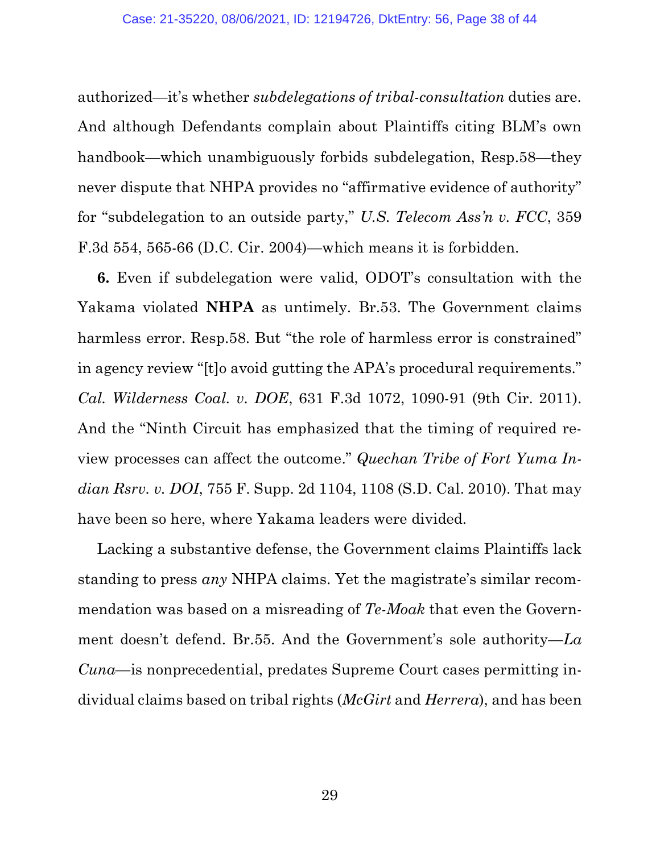authorized—it's whether *subdelegations of tribal-consultation* duties are. And although Defendants complain about Plaintiffs citing BLM's own handbook—which unambiguously forbids subdelegation, Resp.58—they never dispute that NHPA provides no "affirmative evidence of authority" for "subdelegation to an outside party," *U.S. Telecom Ass'n v. FCC*, 359 F.3d 554, 565-66 (D.C. Cir. 2004)—which means it is forbidden.

**6.** Even if subdelegation were valid, ODOT's consultation with the Yakama violated **NHPA** as untimely. Br.53. The Government claims harmless error. Resp.58. But "the role of harmless error is constrained" in agency review "[t]o avoid gutting the APA's procedural requirements." *Cal. Wilderness Coal. v. DOE*, 631 F.3d 1072, 1090-91 (9th Cir. 2011). And the "Ninth Circuit has emphasized that the timing of required review processes can affect the outcome." *Quechan Tribe of Fort Yuma Indian Rsrv. v. DOI*, 755 F. Supp. 2d 1104, 1108 (S.D. Cal. 2010). That may have been so here, where Yakama leaders were divided.

Lacking a substantive defense, the Government claims Plaintiffs lack standing to press *any* NHPA claims. Yet the magistrate's similar recommendation was based on a misreading of *Te-Moak* that even the Government doesn't defend. Br.55. And the Government's sole authority—*La Cuna*—is nonprecedential, predates Supreme Court cases permitting individual claims based on tribal rights (*McGirt* and *Herrera*), and has been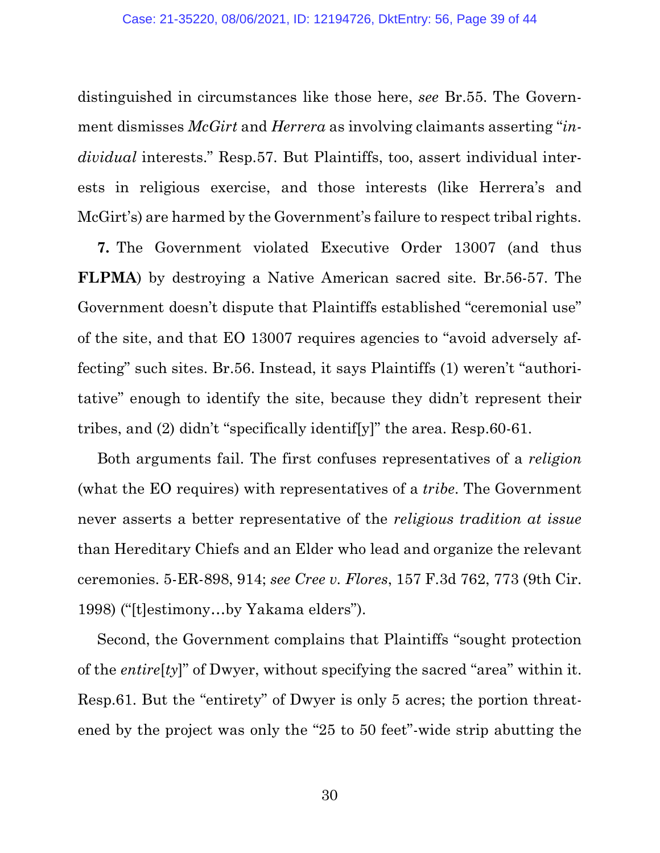distinguished in circumstances like those here, *see* Br.55. The Government dismisses *McGirt* and *Herrera* as involving claimants asserting "*individual* interests." Resp.57. But Plaintiffs, too, assert individual interests in religious exercise, and those interests (like Herrera's and McGirt's) are harmed by the Government's failure to respect tribal rights.

**7.** The Government violated Executive Order 13007 (and thus **FLPMA**) by destroying a Native American sacred site. Br.56-57. The Government doesn't dispute that Plaintiffs established "ceremonial use" of the site, and that EO 13007 requires agencies to "avoid adversely affecting" such sites. Br.56. Instead, it says Plaintiffs (1) weren't "authoritative" enough to identify the site, because they didn't represent their tribes, and (2) didn't "specifically identif[y]" the area. Resp.60-61.

Both arguments fail. The first confuses representatives of a *religion* (what the EO requires) with representatives of a *tribe*. The Government never asserts a better representative of the *religious tradition at issue* than Hereditary Chiefs and an Elder who lead and organize the relevant ceremonies. 5-ER-898, 914; *see Cree v. Flores*, 157 F.3d 762, 773 (9th Cir. 1998) ("[t]estimony…by Yakama elders").

Second, the Government complains that Plaintiffs "sought protection of the *entire*[*ty*]" of Dwyer, without specifying the sacred "area" within it. Resp.61. But the "entirety" of Dwyer is only 5 acres; the portion threatened by the project was only the "25 to 50 feet"-wide strip abutting the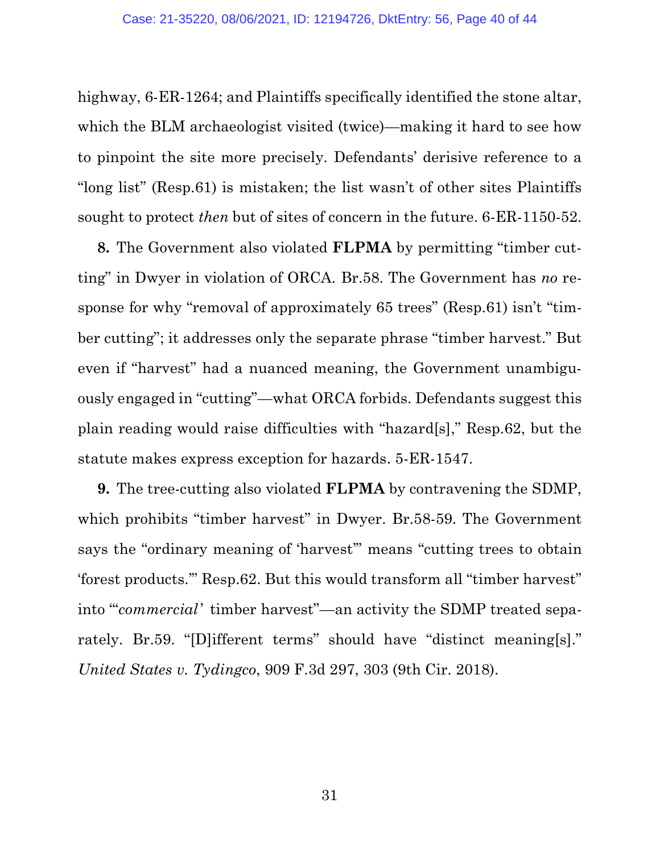highway, 6-ER-1264; and Plaintiffs specifically identified the stone altar, which the BLM archaeologist visited (twice)—making it hard to see how to pinpoint the site more precisely. Defendants' derisive reference to a "long list" (Resp.61) is mistaken; the list wasn't of other sites Plaintiffs sought to protect *then* but of sites of concern in the future. 6-ER-1150-52.

**8.** The Government also violated **FLPMA** by permitting "timber cutting" in Dwyer in violation of ORCA. Br.58. The Government has *no* response for why "removal of approximately 65 trees" (Resp.61) isn't "timber cutting"; it addresses only the separate phrase "timber harvest." But even if "harvest" had a nuanced meaning, the Government unambiguously engaged in "cutting"—what ORCA forbids. Defendants suggest this plain reading would raise difficulties with "hazard[s]," Resp.62, but the statute makes express exception for hazards. 5-ER-1547.

**9.** The tree-cutting also violated **FLPMA** by contravening the SDMP, which prohibits "timber harvest" in Dwyer. Br.58-59. The Government says the "ordinary meaning of 'harvest'" means "cutting trees to obtain 'forest products.'" Resp.62. But this would transform all "timber harvest" into "'*commercial*' timber harvest"—an activity the SDMP treated separately. Br.59. "[D]ifferent terms" should have "distinct meaning[s]." *United States v. Tydingco*, 909 F.3d 297, 303 (9th Cir. 2018).

31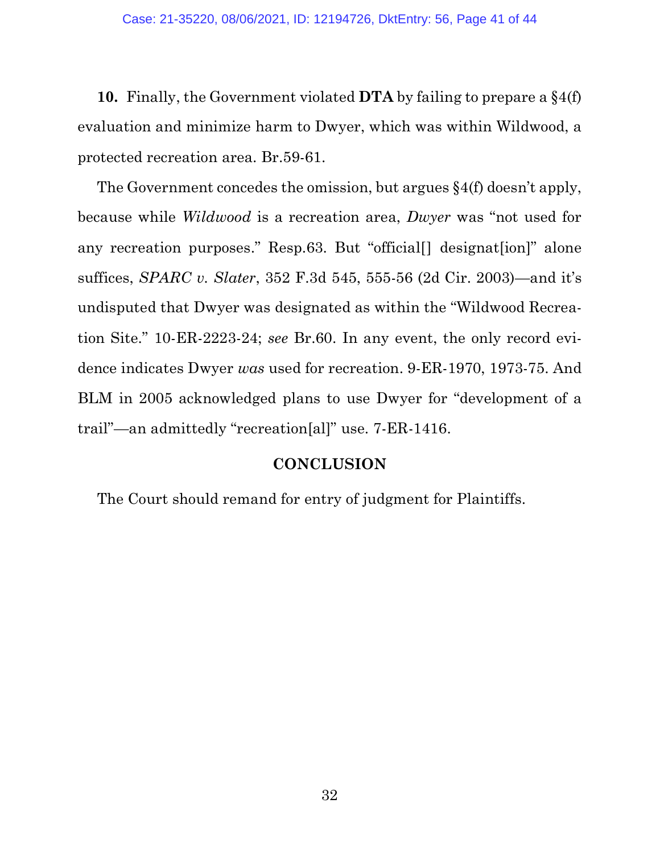**10.** Finally, the Government violated **DTA** by failing to prepare a §4(f) evaluation and minimize harm to Dwyer, which was within Wildwood, a protected recreation area. Br.59-61.

The Government concedes the omission, but argues §4(f) doesn't apply, because while *Wildwood* is a recreation area, *Dwyer* was "not used for any recreation purposes." Resp.63. But "official[] designat[ion]" alone suffices, *SPARC v. Slater*, 352 F.3d 545, 555-56 (2d Cir. 2003)—and it's undisputed that Dwyer was designated as within the "Wildwood Recreation Site." 10-ER-2223-24; *see* Br.60. In any event, the only record evidence indicates Dwyer *was* used for recreation. 9-ER-1970, 1973-75. And BLM in 2005 acknowledged plans to use Dwyer for "development of a trail"—an admittedly "recreation[al]" use. 7-ER-1416.

### **CONCLUSION**

The Court should remand for entry of judgment for Plaintiffs.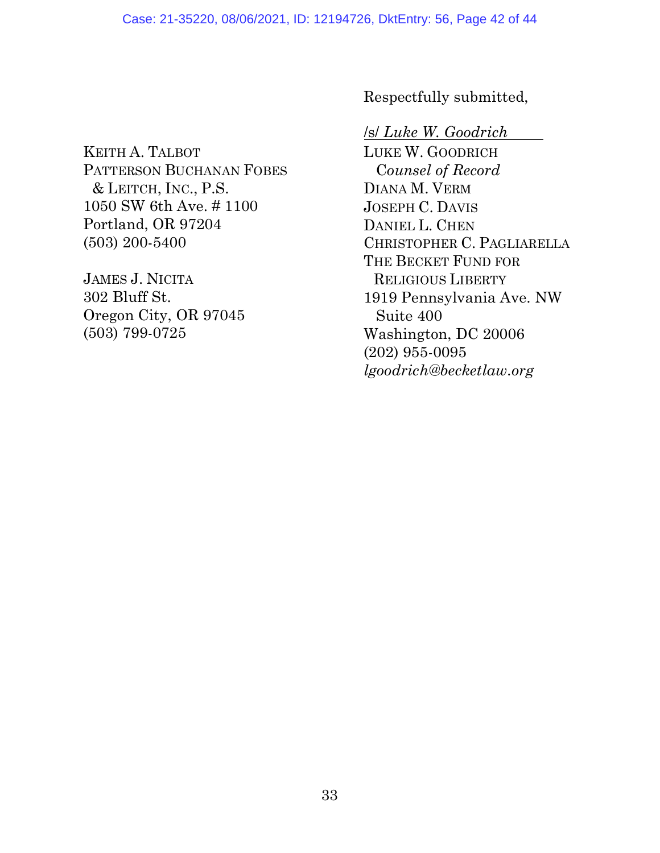KEITH A. TALBOT PATTERSON BUCHANAN FOBES & LEITCH, INC., P.S. 1050 SW 6th Ave. # 1100 Portland, OR 97204 (503) 200-5400

JAMES J. NICITA 302 Bluff St. Oregon City, OR 97045 (503) 799-0725

Respectfully submitted,

/s/ *Luke W. Goodrich*

LUKE W. GOODRICH C*ounsel of Record* DIANA M. VERM JOSEPH C. DAVIS DANIEL L. CHEN CHRISTOPHER C. PAGLIARELLA THE BECKET FUND FOR RELIGIOUS LIBERTY 1919 Pennsylvania Ave. NW Suite 400 Washington, DC 20006 (202) 955-0095 *lgoodrich@becketlaw.org*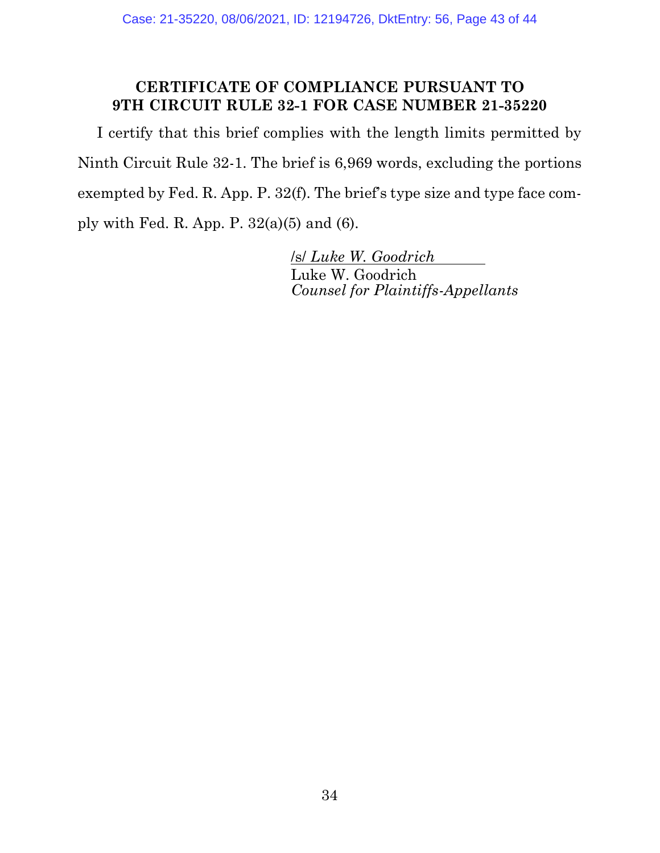### **CERTIFICATE OF COMPLIANCE PURSUANT TO 9TH CIRCUIT RULE 32-1 FOR CASE NUMBER 21-35220**

I certify that this brief complies with the length limits permitted by Ninth Circuit Rule 32-1. The brief is 6,969 words, excluding the portions exempted by Fed. R. App. P. 32(f). The brief's type size and type face comply with Fed. R. App. P.  $32(a)(5)$  and  $(6)$ .

> /s/ *Luke W. Goodrich*  Luke W. Goodrich *Counsel for Plaintiffs-Appellants*